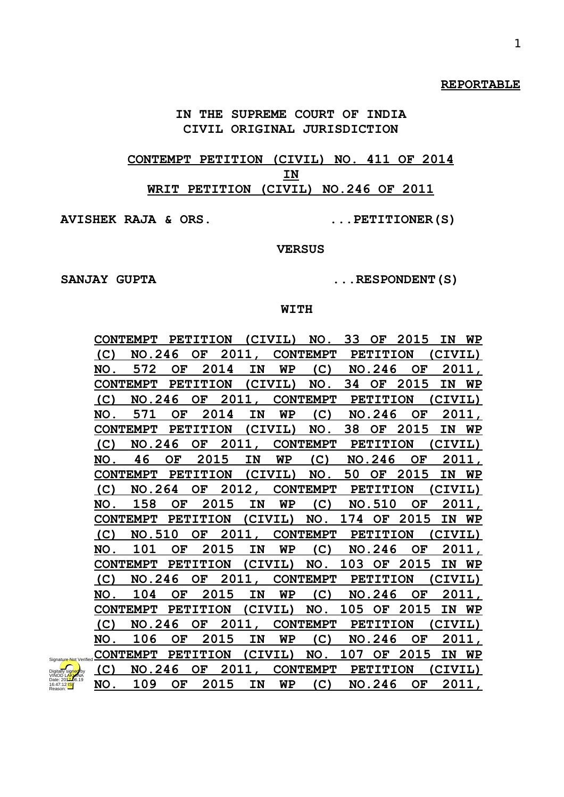#### **REPORTABLE**

**IN THE SUPREME COURT OF INDIA CIVIL ORIGINAL JURISDICTION**

**CONTEMPT PETITION (CIVIL) NO. 411 OF 2014 IN WRIT PETITION (CIVIL) NO.246 OF 2011**

**AVISHEK RAJA & ORS. ...PETITIONER(S)**

**VERSUS**

SANJAY GUPTA  $\ldots$ RESPONDENT(S)

#### **WITH**

|     | CONTEMPT PETITION (CIVIL) NO. 33 OF |     |                 |             |         |         |                         |              |                 | 2015            | IN        | WP        |
|-----|-------------------------------------|-----|-----------------|-------------|---------|---------|-------------------------|--------------|-----------------|-----------------|-----------|-----------|
| (C) | NO.246                              |     | OF              |             |         |         | 2011, CONTEMPT          |              |                 | <b>PETITION</b> | (CIVIL)   |           |
| NO. | 572                                 | OF  |                 | 2014        | IN      | WP      | (C)                     |              | NO.246          | OF              |           | 2011.     |
|     | <b>CONTEMPT</b>                     |     | <b>PETITION</b> |             |         | (CIVIL) | NO.                     | 34           | OF              | 2015            | IN        | WP        |
| (C) | <b>NO.246</b>                       |     | OF              |             | 2011,   |         | <b>CONTEMPT</b>         |              |                 | <b>PETITION</b> | (CIVIL)   |           |
| NO. | 571                                 |     | OF 2014         |             | IN      | WP      | (C)                     |              | <b>NO.246</b>   | OF              |           | 2011,     |
|     | <b>CONTEMPT</b>                     |     | <b>PETITION</b> |             |         | (CIVIL) | NO.                     | 38           |                 | OF 2015         | IN        | <b>WP</b> |
| (C) | NO.246                              |     | OF              |             |         |         | 2011, CONTEMPT PETITION |              |                 |                 | (CIVIL)   |           |
| NO. | 46                                  | OF  |                 | 2015        | IN      | WP      |                         | $(C)$ NO.246 |                 | OF.             |           | 2011,     |
|     | CONTEMPT PETITION                   |     |                 |             |         | (CIVIL) | NO.                     | 50           |                 | OF 2015         | IN        | WP        |
| (C) | <b>NO.264</b>                       |     | OF              |             |         |         | 2012, CONTEMPT PETITION |              |                 |                 | (CIVIL)   |           |
| NO. | 158                                 | OF. |                 | 2015        | IN      | WP      | (C)                     |              | <b>NO.510</b>   | OF.             |           | 2011,     |
|     | <b>CONTEMPT</b>                     |     | <b>PETITION</b> |             | (CIVIL) |         | <u>NO. 174 OF</u>       |              |                 | 2015            | <b>IN</b> | <b>WP</b> |
| (C) | NO.510                              |     | OF 2011         |             |         |         | <b>CONTEMPT</b>         |              | <b>PETITION</b> |                 | (CIVIL)   |           |
| NO. | 101                                 | OF  |                 | <u>2015</u> | IN      | WΡ      | (C)                     |              | NO.246          | OF.             |           | 2011,     |
|     | CONTEMPT PETITION                   |     |                 |             |         | (CIVIL) |                         |              |                 | NO. 103 OF 2015 | <b>IN</b> | WΡ        |
| (C) | <b>NO.246</b>                       |     | OF              |             |         |         | 2011, CONTEMPT PETITION |              |                 |                 | (CIVIL)   |           |
| NO. | 104                                 | OF. |                 | 2015        | IN      | WΡ      | (C)                     |              | NO.246          | OF.             |           | 2011,     |
|     | <b>CONTEMPT</b>                     |     | PETITION        |             | (CIVIL) |         | NO. 105 OF              |              |                 | 2015            | IN        | <b>WP</b> |
| (C) | NO.246                              |     | OF              |             | 2011,   |         | CONTEMPT PETITION       |              |                 |                 | (CIVIL)   |           |
| NO. | 106                                 | OF. |                 | 2015        | IN      | WΡ      | (C)                     |              | <b>NO.246</b>   | OF              |           | 2011,     |
|     | <b>CONTEMPT</b>                     |     | <b>PETITION</b> |             | (CIVIL) |         | NO. 107                 |              | OF              | 2015            | IN        | WP        |
| (C) | NO.246                              |     | OF              |             |         |         | 2011, CONTEMPT PETITION |              |                 |                 | (CIVIL)   |           |
| NO. | 109 OF 2015                         |     |                 |             | IN      | WP      | (C)                     |              |                 | NO.246 OF       |           | 2011,     |

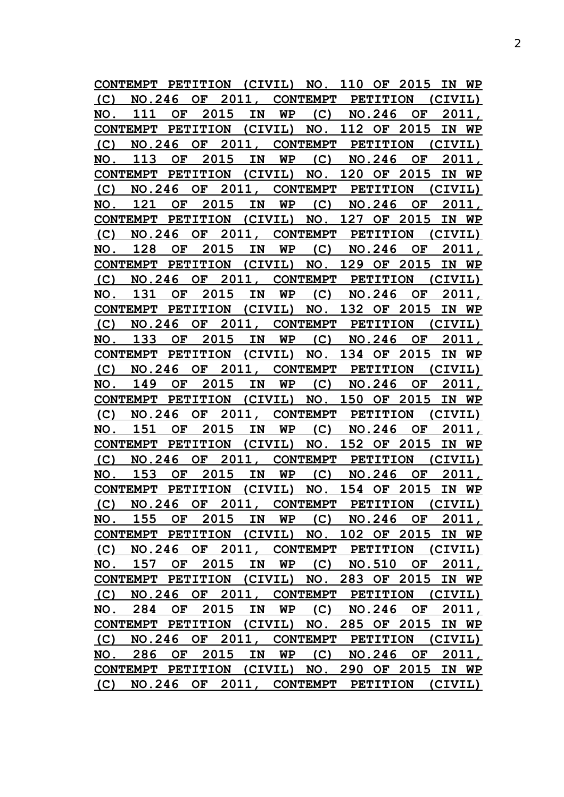**CONTEMPT PETITION (CIVIL) NO. 110 OF 2015 IN WP (C) NO.246 OF 2011, CONTEMPT PETITION (CIVIL) NO. 111 OF 2015 IN WP (C) NO.246 OF 2011, CONTEMPT PETITION (CIVIL) NO. 112 OF 2015 IN WP (C) NO.246 OF 2011, CONTEMPT PETITION (CIVIL) NO. 113 OF 2015 IN WP (C) NO.246 OF 2011, CONTEMPT PETITION (CIVIL) NO. 120 OF 2015 IN WP (C) NO.246 OF 2011, CONTEMPT PETITION (CIVIL) NO. 121 OF 2015 IN WP (C) NO.246 OF 2011, CONTEMPT PETITION (CIVIL) NO. 127 OF 2015 IN WP (C) NO.246 OF 2011, CONTEMPT PETITION (CIVIL) NO. 128 OF 2015 IN WP (C) NO.246 OF 2011, CONTEMPT PETITION (CIVIL) NO. 129 OF 2015 IN WP (C) NO.246 OF 2011, CONTEMPT PETITION (CIVIL) NO. 131 OF 2015 IN WP (C) NO.246 OF 2011, CONTEMPT PETITION (CIVIL) NO. 132 OF 2015 IN WP (C) NO.246 OF 2011, CONTEMPT PETITION (CIVIL) NO. 133 OF 2015 IN WP (C) NO.246 OF 2011, CONTEMPT PETITION (CIVIL) NO. 134 OF 2015 IN WP (C) NO.246 OF 2011, CONTEMPT PETITION (CIVIL) NO. 149 OF 2015 IN WP (C) NO.246 OF 2011, CONTEMPT PETITION (CIVIL) NO. 150 OF 2015 IN WP (C) NO.246 OF 2011, CONTEMPT PETITION (CIVIL) NO. 151 OF 2015 IN WP (C) NO.246 OF 2011, CONTEMPT PETITION (CIVIL) NO. 152 OF 2015 IN WP (C) NO.246 OF 2011, CONTEMPT PETITION (CIVIL) NO. 153 OF 2015 IN WP (C) NO.246 OF 2011, CONTEMPT PETITION (CIVIL) NO. 154 OF 2015 IN WP (C) NO.246 OF 2011, CONTEMPT PETITION (CIVIL) NO. 155 OF 2015 IN WP (C) NO.246 OF 2011, CONTEMPT PETITION (CIVIL) NO. 102 OF 2015 IN WP (C) NO.246 OF 2011, CONTEMPT PETITION (CIVIL) NO. 157 OF 2015 IN WP (C) NO.510 OF 2011, CONTEMPT PETITION (CIVIL) NO. 283 OF 2015 IN WP (C) NO.246 OF 2011, CONTEMPT PETITION (CIVIL) NO. 284 OF 2015 IN WP (C) NO.246 OF 2011, CONTEMPT PETITION (CIVIL) NO. 285 OF 2015 IN WP (C) NO.246 OF 2011, CONTEMPT PETITION (CIVIL) NO. 286 OF 2015 IN WP (C) NO.246 OF 2011, CONTEMPT PETITION (CIVIL) NO. 290 OF 2015 IN WP (C) NO.246 OF 2011, CONTEMPT PETITION (CIVIL)**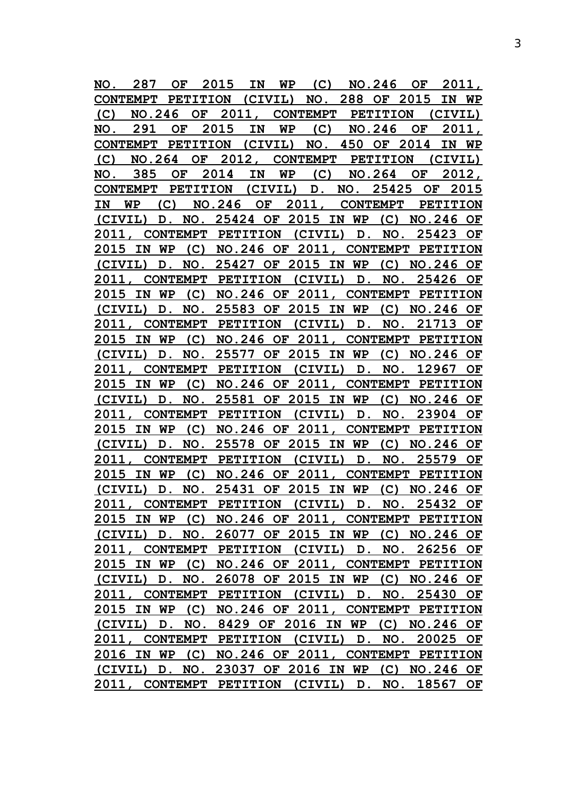| CONTEMPT PETITION (CIVIL) NO. 288 OF 2015 IN WP<br>(C)<br>2011,<br>NO.246<br>OF<br>CONTEMPT PETITION<br>(CIVIL)<br>2011,<br>2015<br>(C)<br>NO.246<br>291<br>IN<br>WP<br>OF<br>NO.<br>OF.<br>CONTEMPT PETITION (CIVIL) NO. 450 OF 2014<br>IN WP<br>OF 2012,<br>(C)<br>NO.264<br><b>CONTEMPT</b><br><b>PETITION</b><br>(CIVIL)<br>2014<br>385<br>IN<br>WP<br>$(C)$ NO.264 OF<br>2012,<br>NO.<br>OF<br>2015<br>CONTEMPT PETITION (CIVIL)<br>D. NO. 25425<br>OF<br>NO.246 OF<br>2011,<br>IN<br>WP<br>CONTEMPT PETITION<br>(C)<br>(CIVIL) D. NO. 25424 OF 2015 IN WP<br>$(C)$ NO.246 OF<br>2011, CONTEMPT PETITION (CIVIL) D.<br>NO.<br>25423 OF<br>(C) NO.246 OF 2011,<br>2015 IN<br>WP<br>CONTEMPT PETITION<br>(CIVIL) D. NO. 25427 OF 2015 IN WP (C) NO.246 OF<br>(CIVIL) D.<br>25426<br>2011, CONTEMPT PETITION<br>NO.<br>OF<br>NO.246 OF 2011,<br>(C)<br>CONTEMPT PETITION<br>2015<br>IN WP<br>(CIVIL) D. NO. 25583 OF 2015 IN WP (C) NO.246 OF<br>2011.<br>CONTEMPT PETITION<br>(CIVIL) D.<br>21713<br>NO.<br>OF<br>NO.246 OF 2011, CONTEMPT PETITION<br>(C)<br>2015 IN WP<br>D. NO. 25577 OF 2015 IN WP<br>(CIVIL)<br>$(C)$ NO.246 OF<br>2011,<br>CONTEMPT PETITION (CIVIL) D.<br>NO.<br>12967<br>OF<br>2015 IN WP<br>(C)<br>NO.246 OF 2011, CONTEMPT PETITION<br>NO. 25581 OF 2015 IN WP (C) NO.246<br>(CIVIL)<br>OF<br>D.<br>CONTEMPT PETITION (CIVIL)<br>2011.<br>D.<br>NO.<br>23904<br>OF<br>2015 IN WP<br>$(C)$ NO.246 OF 2011,<br>CONTEMPT PETITION<br>NO. 25578 OF 2015 IN WP<br>$(C)$ NO. 246<br>(CIVIL)<br>OF<br>D.<br><b>CONTEMPT</b><br>PETITION (CIVIL)<br>NO.<br>25579<br>2011.<br>OF<br>D.<br>2015 IN WP (C) NO.246 OF 2011, CONTEMPT PETITION<br>D. NO. 25431 OF 2015 IN WP (C) NO.246 OF<br>(CIVIL)<br>2011, CONTEMPT PETITION (CIVIL) D. NO. 25432 OF<br>2015 IN WP (C) NO.246 OF 2011, CONTEMPT PETITION<br>(CIVIL) D. NO. 26077 OF 2015 IN WP (C) NO.246 OF<br>2011, CONTEMPT PETITION (CIVIL) D. NO. 26256 OF<br>2015 IN WP (C) NO.246 OF 2011, CONTEMPT PETITION<br>(CIVIL) D. NO. 26078 OF 2015 IN WP (C) NO.246 OF<br>2011, CONTEMPT PETITION (CIVIL) D. NO. 25430 OF<br>2015 IN WP (C) NO.246 OF 2011, CONTEMPT PETITION<br>(CIVIL) D. NO. 8429 OF 2016 IN WP (C) NO.246 OF<br>2011, CONTEMPT PETITION (CIVIL) D. NO. 20025 OF<br>2016 IN WP (C) NO.246 OF 2011, CONTEMPT PETITION<br>(CIVIL) D. NO. 23037 OF 2016 IN WP (C) NO.246 OF<br>2011, CONTEMPT PETITION (CIVIL) D. NO. 18567 OF | NO. | 287 | OF | 2015 | IN | WP | (C) | <b>NO.246</b> | OF |  | 2011, |
|---------------------------------------------------------------------------------------------------------------------------------------------------------------------------------------------------------------------------------------------------------------------------------------------------------------------------------------------------------------------------------------------------------------------------------------------------------------------------------------------------------------------------------------------------------------------------------------------------------------------------------------------------------------------------------------------------------------------------------------------------------------------------------------------------------------------------------------------------------------------------------------------------------------------------------------------------------------------------------------------------------------------------------------------------------------------------------------------------------------------------------------------------------------------------------------------------------------------------------------------------------------------------------------------------------------------------------------------------------------------------------------------------------------------------------------------------------------------------------------------------------------------------------------------------------------------------------------------------------------------------------------------------------------------------------------------------------------------------------------------------------------------------------------------------------------------------------------------------------------------------------------------------------------------------------------------------------------------------------------------------------------------------------------------------------------------------------------------------------------------------------------------------------------------------------------------------------------------------------------------------------------------------------------------------------------------------------------------------------------------------------------------------------------------|-----|-----|----|------|----|----|-----|---------------|----|--|-------|
|                                                                                                                                                                                                                                                                                                                                                                                                                                                                                                                                                                                                                                                                                                                                                                                                                                                                                                                                                                                                                                                                                                                                                                                                                                                                                                                                                                                                                                                                                                                                                                                                                                                                                                                                                                                                                                                                                                                                                                                                                                                                                                                                                                                                                                                                                                                                                                                                                     |     |     |    |      |    |    |     |               |    |  |       |
|                                                                                                                                                                                                                                                                                                                                                                                                                                                                                                                                                                                                                                                                                                                                                                                                                                                                                                                                                                                                                                                                                                                                                                                                                                                                                                                                                                                                                                                                                                                                                                                                                                                                                                                                                                                                                                                                                                                                                                                                                                                                                                                                                                                                                                                                                                                                                                                                                     |     |     |    |      |    |    |     |               |    |  |       |
|                                                                                                                                                                                                                                                                                                                                                                                                                                                                                                                                                                                                                                                                                                                                                                                                                                                                                                                                                                                                                                                                                                                                                                                                                                                                                                                                                                                                                                                                                                                                                                                                                                                                                                                                                                                                                                                                                                                                                                                                                                                                                                                                                                                                                                                                                                                                                                                                                     |     |     |    |      |    |    |     |               |    |  |       |
|                                                                                                                                                                                                                                                                                                                                                                                                                                                                                                                                                                                                                                                                                                                                                                                                                                                                                                                                                                                                                                                                                                                                                                                                                                                                                                                                                                                                                                                                                                                                                                                                                                                                                                                                                                                                                                                                                                                                                                                                                                                                                                                                                                                                                                                                                                                                                                                                                     |     |     |    |      |    |    |     |               |    |  |       |
|                                                                                                                                                                                                                                                                                                                                                                                                                                                                                                                                                                                                                                                                                                                                                                                                                                                                                                                                                                                                                                                                                                                                                                                                                                                                                                                                                                                                                                                                                                                                                                                                                                                                                                                                                                                                                                                                                                                                                                                                                                                                                                                                                                                                                                                                                                                                                                                                                     |     |     |    |      |    |    |     |               |    |  |       |
|                                                                                                                                                                                                                                                                                                                                                                                                                                                                                                                                                                                                                                                                                                                                                                                                                                                                                                                                                                                                                                                                                                                                                                                                                                                                                                                                                                                                                                                                                                                                                                                                                                                                                                                                                                                                                                                                                                                                                                                                                                                                                                                                                                                                                                                                                                                                                                                                                     |     |     |    |      |    |    |     |               |    |  |       |
|                                                                                                                                                                                                                                                                                                                                                                                                                                                                                                                                                                                                                                                                                                                                                                                                                                                                                                                                                                                                                                                                                                                                                                                                                                                                                                                                                                                                                                                                                                                                                                                                                                                                                                                                                                                                                                                                                                                                                                                                                                                                                                                                                                                                                                                                                                                                                                                                                     |     |     |    |      |    |    |     |               |    |  |       |
|                                                                                                                                                                                                                                                                                                                                                                                                                                                                                                                                                                                                                                                                                                                                                                                                                                                                                                                                                                                                                                                                                                                                                                                                                                                                                                                                                                                                                                                                                                                                                                                                                                                                                                                                                                                                                                                                                                                                                                                                                                                                                                                                                                                                                                                                                                                                                                                                                     |     |     |    |      |    |    |     |               |    |  |       |
|                                                                                                                                                                                                                                                                                                                                                                                                                                                                                                                                                                                                                                                                                                                                                                                                                                                                                                                                                                                                                                                                                                                                                                                                                                                                                                                                                                                                                                                                                                                                                                                                                                                                                                                                                                                                                                                                                                                                                                                                                                                                                                                                                                                                                                                                                                                                                                                                                     |     |     |    |      |    |    |     |               |    |  |       |
|                                                                                                                                                                                                                                                                                                                                                                                                                                                                                                                                                                                                                                                                                                                                                                                                                                                                                                                                                                                                                                                                                                                                                                                                                                                                                                                                                                                                                                                                                                                                                                                                                                                                                                                                                                                                                                                                                                                                                                                                                                                                                                                                                                                                                                                                                                                                                                                                                     |     |     |    |      |    |    |     |               |    |  |       |
|                                                                                                                                                                                                                                                                                                                                                                                                                                                                                                                                                                                                                                                                                                                                                                                                                                                                                                                                                                                                                                                                                                                                                                                                                                                                                                                                                                                                                                                                                                                                                                                                                                                                                                                                                                                                                                                                                                                                                                                                                                                                                                                                                                                                                                                                                                                                                                                                                     |     |     |    |      |    |    |     |               |    |  |       |
|                                                                                                                                                                                                                                                                                                                                                                                                                                                                                                                                                                                                                                                                                                                                                                                                                                                                                                                                                                                                                                                                                                                                                                                                                                                                                                                                                                                                                                                                                                                                                                                                                                                                                                                                                                                                                                                                                                                                                                                                                                                                                                                                                                                                                                                                                                                                                                                                                     |     |     |    |      |    |    |     |               |    |  |       |
|                                                                                                                                                                                                                                                                                                                                                                                                                                                                                                                                                                                                                                                                                                                                                                                                                                                                                                                                                                                                                                                                                                                                                                                                                                                                                                                                                                                                                                                                                                                                                                                                                                                                                                                                                                                                                                                                                                                                                                                                                                                                                                                                                                                                                                                                                                                                                                                                                     |     |     |    |      |    |    |     |               |    |  |       |
|                                                                                                                                                                                                                                                                                                                                                                                                                                                                                                                                                                                                                                                                                                                                                                                                                                                                                                                                                                                                                                                                                                                                                                                                                                                                                                                                                                                                                                                                                                                                                                                                                                                                                                                                                                                                                                                                                                                                                                                                                                                                                                                                                                                                                                                                                                                                                                                                                     |     |     |    |      |    |    |     |               |    |  |       |
|                                                                                                                                                                                                                                                                                                                                                                                                                                                                                                                                                                                                                                                                                                                                                                                                                                                                                                                                                                                                                                                                                                                                                                                                                                                                                                                                                                                                                                                                                                                                                                                                                                                                                                                                                                                                                                                                                                                                                                                                                                                                                                                                                                                                                                                                                                                                                                                                                     |     |     |    |      |    |    |     |               |    |  |       |
|                                                                                                                                                                                                                                                                                                                                                                                                                                                                                                                                                                                                                                                                                                                                                                                                                                                                                                                                                                                                                                                                                                                                                                                                                                                                                                                                                                                                                                                                                                                                                                                                                                                                                                                                                                                                                                                                                                                                                                                                                                                                                                                                                                                                                                                                                                                                                                                                                     |     |     |    |      |    |    |     |               |    |  |       |
|                                                                                                                                                                                                                                                                                                                                                                                                                                                                                                                                                                                                                                                                                                                                                                                                                                                                                                                                                                                                                                                                                                                                                                                                                                                                                                                                                                                                                                                                                                                                                                                                                                                                                                                                                                                                                                                                                                                                                                                                                                                                                                                                                                                                                                                                                                                                                                                                                     |     |     |    |      |    |    |     |               |    |  |       |
|                                                                                                                                                                                                                                                                                                                                                                                                                                                                                                                                                                                                                                                                                                                                                                                                                                                                                                                                                                                                                                                                                                                                                                                                                                                                                                                                                                                                                                                                                                                                                                                                                                                                                                                                                                                                                                                                                                                                                                                                                                                                                                                                                                                                                                                                                                                                                                                                                     |     |     |    |      |    |    |     |               |    |  |       |
|                                                                                                                                                                                                                                                                                                                                                                                                                                                                                                                                                                                                                                                                                                                                                                                                                                                                                                                                                                                                                                                                                                                                                                                                                                                                                                                                                                                                                                                                                                                                                                                                                                                                                                                                                                                                                                                                                                                                                                                                                                                                                                                                                                                                                                                                                                                                                                                                                     |     |     |    |      |    |    |     |               |    |  |       |
|                                                                                                                                                                                                                                                                                                                                                                                                                                                                                                                                                                                                                                                                                                                                                                                                                                                                                                                                                                                                                                                                                                                                                                                                                                                                                                                                                                                                                                                                                                                                                                                                                                                                                                                                                                                                                                                                                                                                                                                                                                                                                                                                                                                                                                                                                                                                                                                                                     |     |     |    |      |    |    |     |               |    |  |       |
|                                                                                                                                                                                                                                                                                                                                                                                                                                                                                                                                                                                                                                                                                                                                                                                                                                                                                                                                                                                                                                                                                                                                                                                                                                                                                                                                                                                                                                                                                                                                                                                                                                                                                                                                                                                                                                                                                                                                                                                                                                                                                                                                                                                                                                                                                                                                                                                                                     |     |     |    |      |    |    |     |               |    |  |       |
|                                                                                                                                                                                                                                                                                                                                                                                                                                                                                                                                                                                                                                                                                                                                                                                                                                                                                                                                                                                                                                                                                                                                                                                                                                                                                                                                                                                                                                                                                                                                                                                                                                                                                                                                                                                                                                                                                                                                                                                                                                                                                                                                                                                                                                                                                                                                                                                                                     |     |     |    |      |    |    |     |               |    |  |       |
|                                                                                                                                                                                                                                                                                                                                                                                                                                                                                                                                                                                                                                                                                                                                                                                                                                                                                                                                                                                                                                                                                                                                                                                                                                                                                                                                                                                                                                                                                                                                                                                                                                                                                                                                                                                                                                                                                                                                                                                                                                                                                                                                                                                                                                                                                                                                                                                                                     |     |     |    |      |    |    |     |               |    |  |       |
|                                                                                                                                                                                                                                                                                                                                                                                                                                                                                                                                                                                                                                                                                                                                                                                                                                                                                                                                                                                                                                                                                                                                                                                                                                                                                                                                                                                                                                                                                                                                                                                                                                                                                                                                                                                                                                                                                                                                                                                                                                                                                                                                                                                                                                                                                                                                                                                                                     |     |     |    |      |    |    |     |               |    |  |       |
|                                                                                                                                                                                                                                                                                                                                                                                                                                                                                                                                                                                                                                                                                                                                                                                                                                                                                                                                                                                                                                                                                                                                                                                                                                                                                                                                                                                                                                                                                                                                                                                                                                                                                                                                                                                                                                                                                                                                                                                                                                                                                                                                                                                                                                                                                                                                                                                                                     |     |     |    |      |    |    |     |               |    |  |       |
|                                                                                                                                                                                                                                                                                                                                                                                                                                                                                                                                                                                                                                                                                                                                                                                                                                                                                                                                                                                                                                                                                                                                                                                                                                                                                                                                                                                                                                                                                                                                                                                                                                                                                                                                                                                                                                                                                                                                                                                                                                                                                                                                                                                                                                                                                                                                                                                                                     |     |     |    |      |    |    |     |               |    |  |       |
|                                                                                                                                                                                                                                                                                                                                                                                                                                                                                                                                                                                                                                                                                                                                                                                                                                                                                                                                                                                                                                                                                                                                                                                                                                                                                                                                                                                                                                                                                                                                                                                                                                                                                                                                                                                                                                                                                                                                                                                                                                                                                                                                                                                                                                                                                                                                                                                                                     |     |     |    |      |    |    |     |               |    |  |       |
|                                                                                                                                                                                                                                                                                                                                                                                                                                                                                                                                                                                                                                                                                                                                                                                                                                                                                                                                                                                                                                                                                                                                                                                                                                                                                                                                                                                                                                                                                                                                                                                                                                                                                                                                                                                                                                                                                                                                                                                                                                                                                                                                                                                                                                                                                                                                                                                                                     |     |     |    |      |    |    |     |               |    |  |       |
|                                                                                                                                                                                                                                                                                                                                                                                                                                                                                                                                                                                                                                                                                                                                                                                                                                                                                                                                                                                                                                                                                                                                                                                                                                                                                                                                                                                                                                                                                                                                                                                                                                                                                                                                                                                                                                                                                                                                                                                                                                                                                                                                                                                                                                                                                                                                                                                                                     |     |     |    |      |    |    |     |               |    |  |       |
|                                                                                                                                                                                                                                                                                                                                                                                                                                                                                                                                                                                                                                                                                                                                                                                                                                                                                                                                                                                                                                                                                                                                                                                                                                                                                                                                                                                                                                                                                                                                                                                                                                                                                                                                                                                                                                                                                                                                                                                                                                                                                                                                                                                                                                                                                                                                                                                                                     |     |     |    |      |    |    |     |               |    |  |       |
|                                                                                                                                                                                                                                                                                                                                                                                                                                                                                                                                                                                                                                                                                                                                                                                                                                                                                                                                                                                                                                                                                                                                                                                                                                                                                                                                                                                                                                                                                                                                                                                                                                                                                                                                                                                                                                                                                                                                                                                                                                                                                                                                                                                                                                                                                                                                                                                                                     |     |     |    |      |    |    |     |               |    |  |       |
|                                                                                                                                                                                                                                                                                                                                                                                                                                                                                                                                                                                                                                                                                                                                                                                                                                                                                                                                                                                                                                                                                                                                                                                                                                                                                                                                                                                                                                                                                                                                                                                                                                                                                                                                                                                                                                                                                                                                                                                                                                                                                                                                                                                                                                                                                                                                                                                                                     |     |     |    |      |    |    |     |               |    |  |       |
|                                                                                                                                                                                                                                                                                                                                                                                                                                                                                                                                                                                                                                                                                                                                                                                                                                                                                                                                                                                                                                                                                                                                                                                                                                                                                                                                                                                                                                                                                                                                                                                                                                                                                                                                                                                                                                                                                                                                                                                                                                                                                                                                                                                                                                                                                                                                                                                                                     |     |     |    |      |    |    |     |               |    |  |       |
|                                                                                                                                                                                                                                                                                                                                                                                                                                                                                                                                                                                                                                                                                                                                                                                                                                                                                                                                                                                                                                                                                                                                                                                                                                                                                                                                                                                                                                                                                                                                                                                                                                                                                                                                                                                                                                                                                                                                                                                                                                                                                                                                                                                                                                                                                                                                                                                                                     |     |     |    |      |    |    |     |               |    |  |       |
|                                                                                                                                                                                                                                                                                                                                                                                                                                                                                                                                                                                                                                                                                                                                                                                                                                                                                                                                                                                                                                                                                                                                                                                                                                                                                                                                                                                                                                                                                                                                                                                                                                                                                                                                                                                                                                                                                                                                                                                                                                                                                                                                                                                                                                                                                                                                                                                                                     |     |     |    |      |    |    |     |               |    |  |       |
|                                                                                                                                                                                                                                                                                                                                                                                                                                                                                                                                                                                                                                                                                                                                                                                                                                                                                                                                                                                                                                                                                                                                                                                                                                                                                                                                                                                                                                                                                                                                                                                                                                                                                                                                                                                                                                                                                                                                                                                                                                                                                                                                                                                                                                                                                                                                                                                                                     |     |     |    |      |    |    |     |               |    |  |       |
|                                                                                                                                                                                                                                                                                                                                                                                                                                                                                                                                                                                                                                                                                                                                                                                                                                                                                                                                                                                                                                                                                                                                                                                                                                                                                                                                                                                                                                                                                                                                                                                                                                                                                                                                                                                                                                                                                                                                                                                                                                                                                                                                                                                                                                                                                                                                                                                                                     |     |     |    |      |    |    |     |               |    |  |       |
|                                                                                                                                                                                                                                                                                                                                                                                                                                                                                                                                                                                                                                                                                                                                                                                                                                                                                                                                                                                                                                                                                                                                                                                                                                                                                                                                                                                                                                                                                                                                                                                                                                                                                                                                                                                                                                                                                                                                                                                                                                                                                                                                                                                                                                                                                                                                                                                                                     |     |     |    |      |    |    |     |               |    |  |       |
|                                                                                                                                                                                                                                                                                                                                                                                                                                                                                                                                                                                                                                                                                                                                                                                                                                                                                                                                                                                                                                                                                                                                                                                                                                                                                                                                                                                                                                                                                                                                                                                                                                                                                                                                                                                                                                                                                                                                                                                                                                                                                                                                                                                                                                                                                                                                                                                                                     |     |     |    |      |    |    |     |               |    |  |       |
|                                                                                                                                                                                                                                                                                                                                                                                                                                                                                                                                                                                                                                                                                                                                                                                                                                                                                                                                                                                                                                                                                                                                                                                                                                                                                                                                                                                                                                                                                                                                                                                                                                                                                                                                                                                                                                                                                                                                                                                                                                                                                                                                                                                                                                                                                                                                                                                                                     |     |     |    |      |    |    |     |               |    |  |       |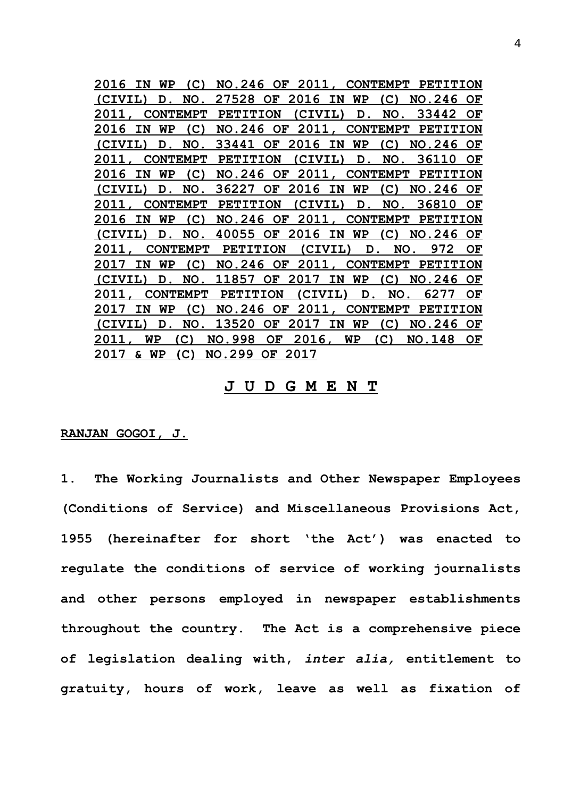**2016 IN WP (C) NO.246 OF 2011, CONTEMPT PETITION (CIVIL) D. NO. 27528 OF 2016 IN WP (C) NO.246 OF 2011, CONTEMPT PETITION (CIVIL) D. NO. 33442 OF 2016 IN WP (C) NO.246 OF 2011, CONTEMPT PETITION (CIVIL) D. NO. 33441 OF 2016 IN WP (C) NO.246 OF 2011, CONTEMPT PETITION (CIVIL) D. NO. 36110 OF 2016 IN WP (C) NO.246 OF 2011, CONTEMPT PETITION (CIVIL) D. NO. 36227 OF 2016 IN WP (C) NO.246 OF 2011, CONTEMPT PETITION (CIVIL) D. NO. 36810 OF 2016 IN WP (C) NO.246 OF 2011, CONTEMPT PETITION (CIVIL) D. NO. 40055 OF 2016 IN WP (C) NO.246 OF 2011, CONTEMPT PETITION (CIVIL) D. NO. 972 OF 2017 IN WP (C) NO.246 OF 2011, CONTEMPT PETITION (CIVIL) D. NO. 11857 OF 2017 IN WP (C) NO.246 OF 2011, CONTEMPT PETITION (CIVIL) D. NO. 6277 OF 2017 IN WP (C) NO.246 OF 2011, CONTEMPT PETITION (CIVIL) D. NO. 13520 OF 2017 IN WP (C) NO.246 OF 2011, WP (C) NO.998 OF 2016, WP (C) NO.148 OF 2017 & WP (C) NO.299 OF 2017**

# **J U D G M E N T**

**RANJAN GOGOI, J.**

**1. The Working Journalists and Other Newspaper Employees (Conditions of Service) and Miscellaneous Provisions Act, 1955 (hereinafter for short 'the Act') was enacted to regulate the conditions of service of working journalists and other persons employed in newspaper establishments throughout the country. The Act is a comprehensive piece of legislation dealing with,** *inter alia,* **entitlement to gratuity, hours of work, leave as well as fixation of**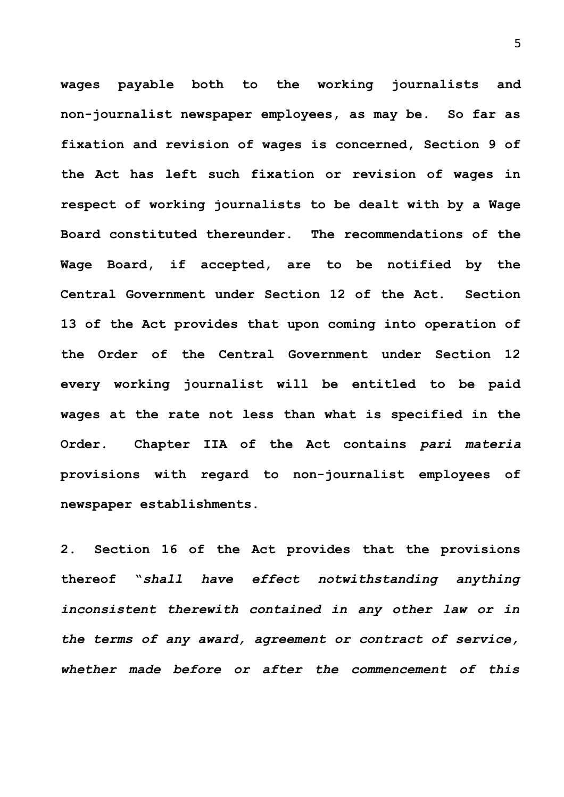**wages payable both to the working journalists and non-journalist newspaper employees, as may be. So far as fixation and revision of wages is concerned, Section 9 of the Act has left such fixation or revision of wages in respect of working journalists to be dealt with by a Wage Board constituted thereunder. The recommendations of the Wage Board, if accepted, are to be notified by the Central Government under Section 12 of the Act. Section 13 of the Act provides that upon coming into operation of the Order of the Central Government under Section 12 every working journalist will be entitled to be paid wages at the rate not less than what is specified in the Order. Chapter IIA of the Act contains** *pari materia* **provisions with regard to non-journalist employees of newspaper establishments.** 

**2. Section 16 of the Act provides that the provisions thereof "***shall have effect notwithstanding anything inconsistent therewith contained in any other law or in the terms of any award, agreement or contract of service, whether made before or after the commencement of this*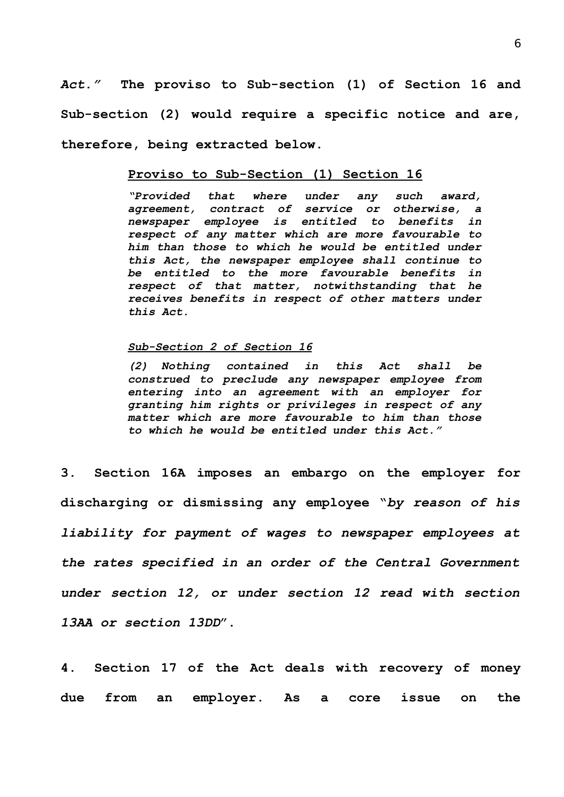*Act."* **The proviso to Sub-section (1) of Section 16 and Sub-section (2) would require a specific notice and are, therefore, being extracted below.**

#### **Proviso to Sub-Section (1) Section 16**

*"Provided that where under any such award, agreement, contract of service or otherwise, a newspaper employee is entitled to benefits in respect of any matter which are more favourable to him than those to which he would be entitled under this Act, the newspaper employee shall continue to be entitled to the more favourable benefits in respect of that matter, notwithstanding that he receives benefits in respect of other matters under this Act.*

#### *Sub-Section 2 of Section 16*

*(2) Nothing contained in this Act shall be construed to preclude any newspaper employee from entering into an agreement with an employer for granting him rights or privileges in respect of any matter which are more favourable to him than those to which he would be entitled under this Act."* 

**3. Section 16A imposes an embargo on the employer for discharging or dismissing any employee "***by reason of his liability for payment of wages to newspaper employees at the rates specified in an order of the Central Government under section 12, or under section 12 read with section 13AA or section 13DD***".**

**4. Section 17 of the Act deals with recovery of money due from an employer. As a core issue on the**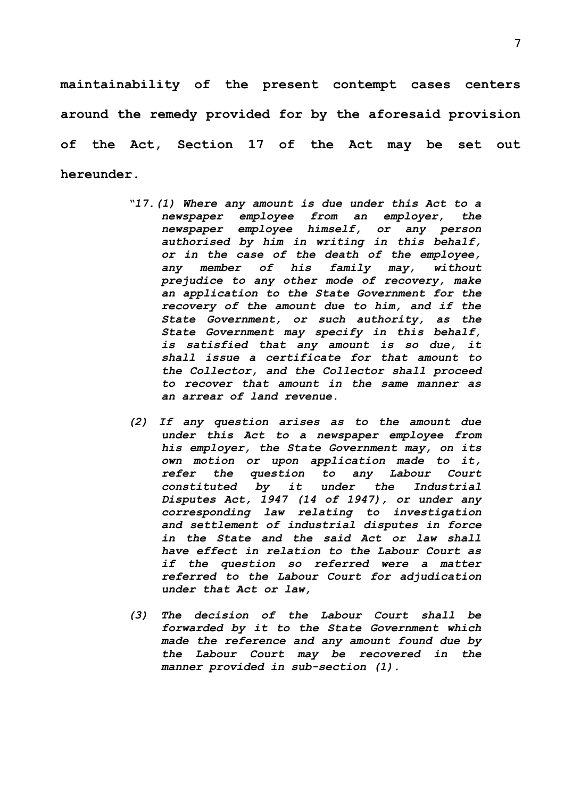**maintainability of the present contempt cases centers around the remedy provided for by the aforesaid provision of the Act, Section 17 of the Act may be set out hereunder.**

- *"17.(1) Where any amount is due under this Act to a newspaper employee from an employer, the newspaper employee himself, or any person authorised by him in writing in this behalf, or in the case of the death of the employee, any member of his family may, without prejudice to any other mode of recovery, make an application to the State Government for the recovery of the amount due to him, and if the State Government, or such authority, as the State Government may specify in this behalf, is satisfied that any amount is so due, it shall issue a certificate for that amount to the Collector, and the Collector shall proceed to recover that amount in the same manner as an arrear of land revenue.*
- *(2) If any question arises as to the amount due under this Act to a newspaper employee from his employer, the State Government may, on its own motion or upon application made to it, refer the question to any Labour Court constituted by it under the Industrial Disputes Act, 1947 (14 of 1947), or under any corresponding law relating to investigation and settlement of industrial disputes in force in the State and the said Act or law shall have effect in relation to the Labour Court as if the question so referred were a matter referred to the Labour Court for adjudication under that Act or law,*
- *(3) The decision of the Labour Court shall be forwarded by it to the State Government which made the reference and any amount found due by the Labour Court may be recovered in the manner provided in sub-section (1).*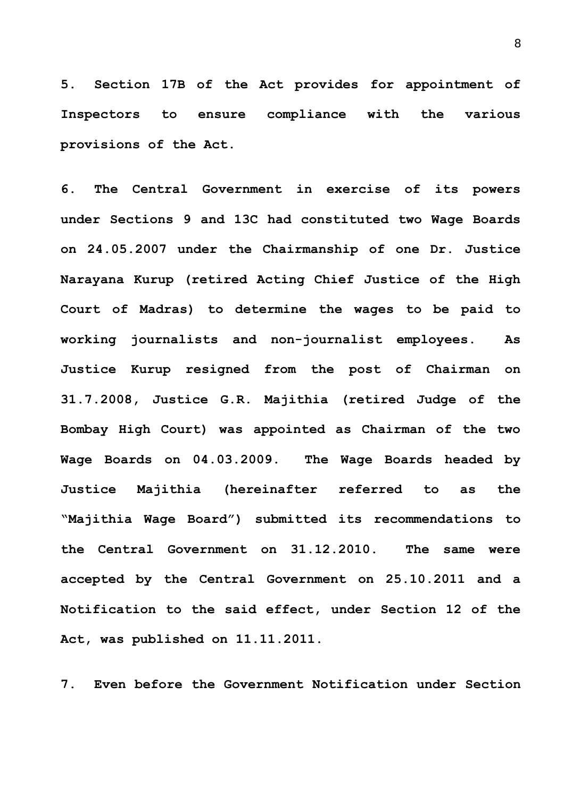**5. Section 17B of the Act provides for appointment of Inspectors to ensure compliance with the various provisions of the Act.**

**6. The Central Government in exercise of its powers under Sections 9 and 13C had constituted two Wage Boards on 24.05.2007 under the Chairmanship of one Dr. Justice Narayana Kurup (retired Acting Chief Justice of the High Court of Madras) to determine the wages to be paid to working journalists and non-journalist employees. As Justice Kurup resigned from the post of Chairman on 31.7.2008, Justice G.R. Majithia (retired Judge of the Bombay High Court) was appointed as Chairman of the two Wage Boards on 04.03.2009. The Wage Boards headed by Justice Majithia (hereinafter referred to as the "Majithia Wage Board") submitted its recommendations to the Central Government on 31.12.2010. The same were accepted by the Central Government on 25.10.2011 and a Notification to the said effect, under Section 12 of the Act, was published on 11.11.2011.**

**7. Even before the Government Notification under Section**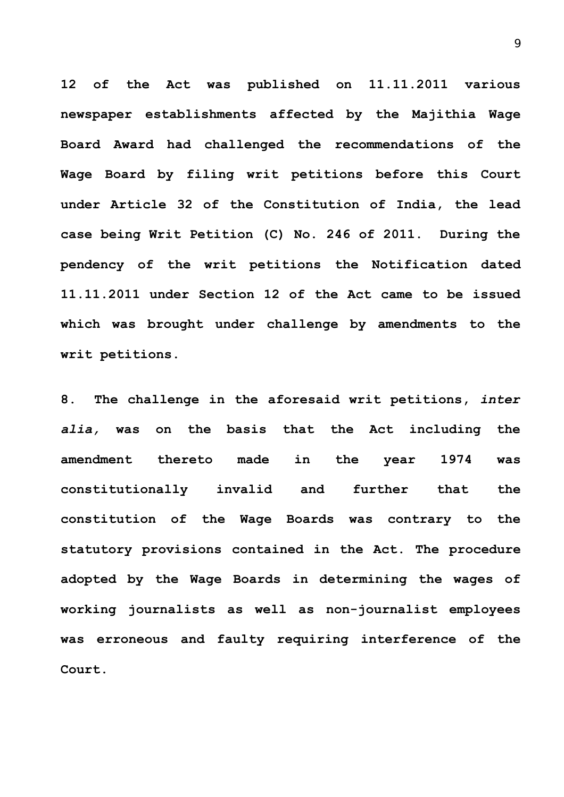**12 of the Act was published on 11.11.2011 various newspaper establishments affected by the Majithia Wage Board Award had challenged the recommendations of the Wage Board by filing writ petitions before this Court under Article 32 of the Constitution of India, the lead case being Writ Petition (C) No. 246 of 2011. During the pendency of the writ petitions the Notification dated 11.11.2011 under Section 12 of the Act came to be issued which was brought under challenge by amendments to the writ petitions.** 

**8. The challenge in the aforesaid writ petitions,** *inter alia,* **was on the basis that the Act including the amendment thereto made in the year 1974 was constitutionally invalid and further that the constitution of the Wage Boards was contrary to the statutory provisions contained in the Act. The procedure adopted by the Wage Boards in determining the wages of working journalists as well as non-journalist employees was erroneous and faulty requiring interference of the Court.**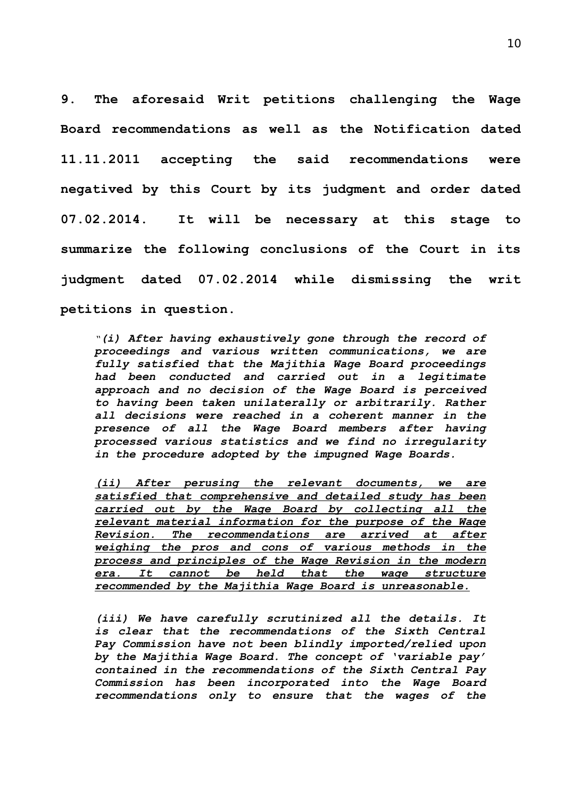**9. The aforesaid Writ petitions challenging the Wage Board recommendations as well as the Notification dated 11.11.2011 accepting the said recommendations were negatived by this Court by its judgment and order dated 07.02.2014. It will be necessary at this stage to summarize the following conclusions of the Court in its judgment dated 07.02.2014 while dismissing the writ petitions in question.**

*"(i) After having exhaustively gone through the record of proceedings and various written communications, we are fully satisfied that the Majithia Wage Board proceedings had been conducted and carried out in a legitimate approach and no decision of the Wage Board is perceived to having been taken unilaterally or arbitrarily. Rather all decisions were reached in a coherent manner in the presence of all the Wage Board members after having processed various statistics and we find no irregularity in the procedure adopted by the impugned Wage Boards.*

*(ii) After perusing the relevant documents, we are satisfied that comprehensive and detailed study has been carried out by the Wage Board by collecting all the relevant material information for the purpose of the Wage Revision. The recommendations are arrived at after weighing the pros and cons of various methods in the process and principles of the Wage Revision in the modern era. It cannot be held that the wage structure recommended by the Majithia Wage Board is unreasonable.*

*(iii) We have carefully scrutinized all the details. It is clear that the recommendations of the Sixth Central Pay Commission have not been blindly imported/relied upon by the Majithia Wage Board. The concept of 'variable pay' contained in the recommendations of the Sixth Central Pay Commission has been incorporated into the Wage Board recommendations only to ensure that the wages of the*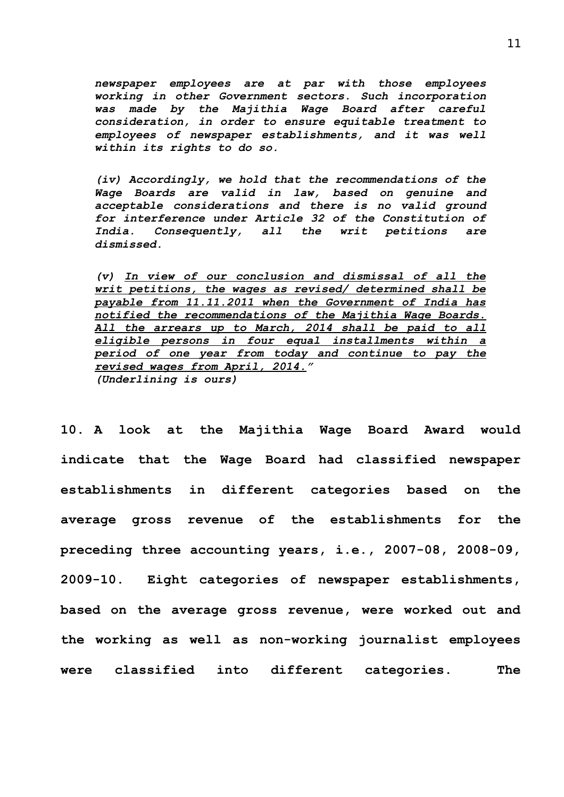*newspaper employees are at par with those employees working in other Government sectors. Such incorporation was made by the Majithia Wage Board after careful consideration, in order to ensure equitable treatment to employees of newspaper establishments, and it was well within its rights to do so.*

*(iv) Accordingly, we hold that the recommendations of the Wage Boards are valid in law, based on genuine and acceptable considerations and there is no valid ground for interference under Article 32 of the Constitution of India. Consequently, all the writ petitions are dismissed.*

*(v) In view of our conclusion and dismissal of all the writ petitions, the wages as revised/ determined shall be payable from 11.11.2011 when the Government of India has notified the recommendations of the Majithia Wage Boards. All the arrears up to March, 2014 shall be paid to all eligible persons in four equal installments within a period of one year from today and continue to pay the revised wages from April, 2014." (Underlining is ours)*

**10. A look at the Majithia Wage Board Award would indicate that the Wage Board had classified newspaper establishments in different categories based on the average gross revenue of the establishments for the preceding three accounting years, i.e., 2007-08, 2008-09, 2009-10. Eight categories of newspaper establishments, based on the average gross revenue, were worked out and the working as well as non-working journalist employees were classified into different categories. The**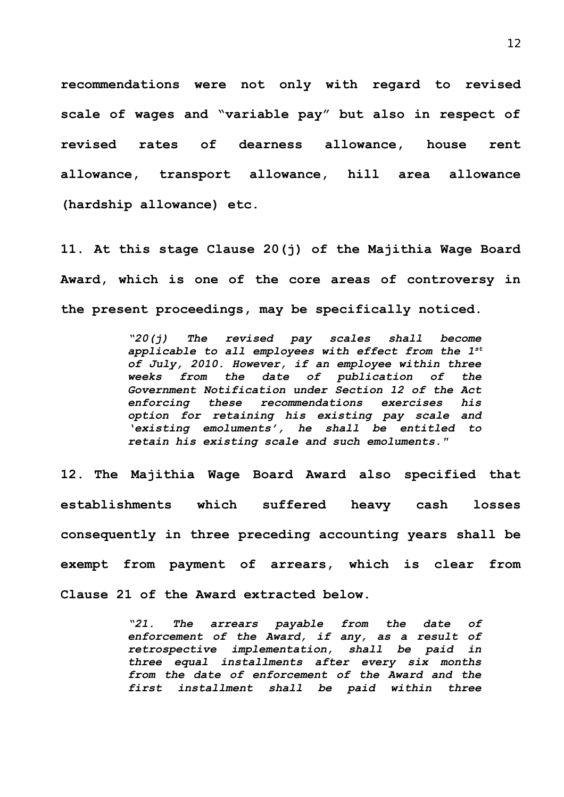**recommendations were not only with regard to revised scale of wages and "variable pay" but also in respect of revised rates of dearness allowance, house rent allowance, transport allowance, hill area allowance (hardship allowance) etc.** 

**11. At this stage Clause 20(j) of the Majithia Wage Board Award, which is one of the core areas of controversy in the present proceedings, may be specifically noticed.**

> *"20(j) The revised pay scales shall become applicable to all employees with effect from the 1st of July, 2010. However, if an employee within three weeks from the date of publication of the Government Notification under Section 12 of the Act enforcing these recommendations exercises his option for retaining his existing pay scale and 'existing emoluments', he shall be entitled to retain his existing scale and such emoluments."*

**12. The Majithia Wage Board Award also specified that establishments which suffered heavy cash losses consequently in three preceding accounting years shall be exempt from payment of arrears, which is clear from Clause 21 of the Award extracted below.**

> *"21. The arrears payable from the date of enforcement of the Award, if any, as a result of retrospective implementation, shall be paid in three equal installments after every six months from the date of enforcement of the Award and the first installment shall be paid within three*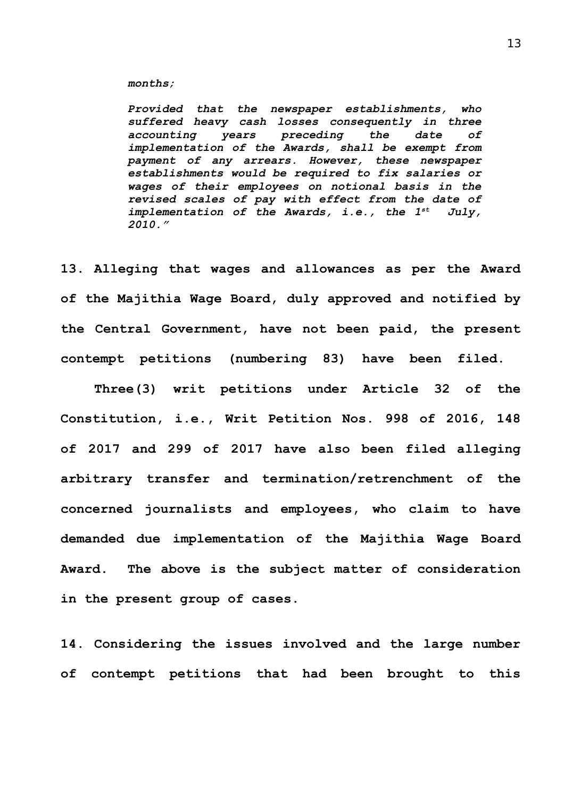#### *months;*

*Provided that the newspaper establishments, who suffered heavy cash losses consequently in three accounting years preceding the date of implementation of the Awards, shall be exempt from payment of any arrears. However, these newspaper establishments would be required to fix salaries or wages of their employees on notional basis in the revised scales of pay with effect from the date of implementation of the Awards, i.e., the 1st July, 2010."*

**13. Alleging that wages and allowances as per the Award of the Majithia Wage Board, duly approved and notified by the Central Government, have not been paid, the present contempt petitions (numbering 83) have been filed.** 

**Three(3) writ petitions under Article 32 of the Constitution, i.e., Writ Petition Nos. 998 of 2016, 148 of 2017 and 299 of 2017 have also been filed alleging arbitrary transfer and termination/retrenchment of the concerned journalists and employees, who claim to have demanded due implementation of the Majithia Wage Board Award. The above is the subject matter of consideration in the present group of cases.**

**14. Considering the issues involved and the large number of contempt petitions that had been brought to this**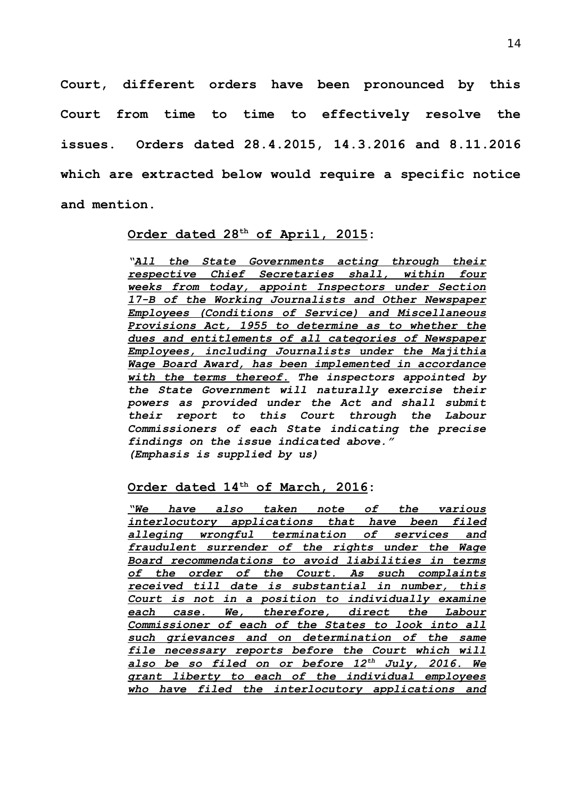**Court, different orders have been pronounced by this Court from time to time to effectively resolve the issues. Orders dated 28.4.2015, 14.3.2016 and 8.11.2016 which are extracted below would require a specific notice and mention.**

# **Order dated 28th of April, 2015:**

*"All the State Governments acting through their respective Chief Secretaries shall, within four weeks from today, appoint Inspectors under Section 17-B of the Working Journalists and Other Newspaper Employees (Conditions of Service) and Miscellaneous Provisions Act, 1955 to determine as to whether the dues and entitlements of all categories of Newspaper Employees, including Journalists under the Majithia Wage Board Award, has been implemented in accordance with the terms thereof. The inspectors appointed by the State Government will naturally exercise their powers as provided under the Act and shall submit their report to this Court through the Labour Commissioners of each State indicating the precise findings on the issue indicated above." (Emphasis is supplied by us)*

# **Order dated 14th of March, 2016:**

*"We have also taken note of the various interlocutory applications that have been filed alleging wrongful termination of services and fraudulent surrender of the rights under the Wage Board recommendations to avoid liabilities in terms of the order of the Court. As such complaints received till date is substantial in number, this Court is not in a position to individually examine each case. We, therefore, direct the Labour Commissioner of each of the States to look into all such grievances and on determination of the same file necessary reports before the Court which will also be so filed on or before 12th July, 2016. We grant liberty to each of the individual employees who have filed the interlocutory applications and*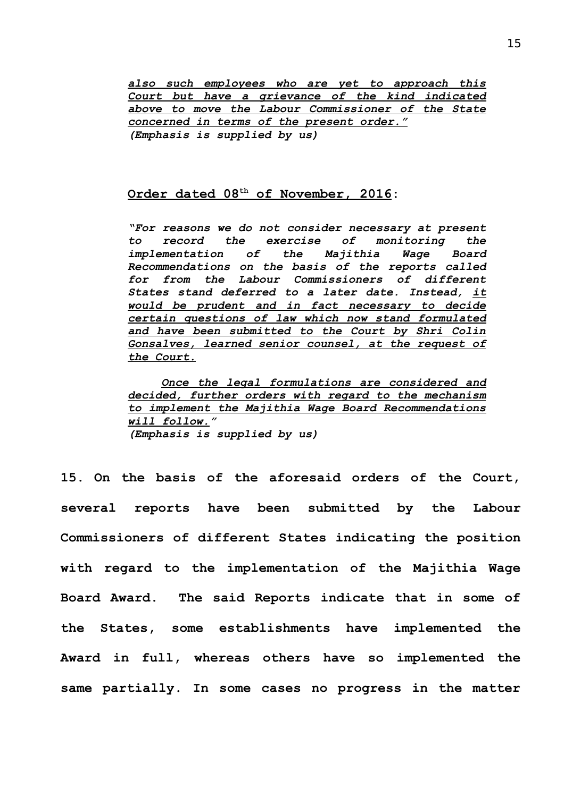*also such employees who are yet to approach this Court but have a grievance of the kind indicated above to move the Labour Commissioner of the State concerned in terms of the present order." (Emphasis is supplied by us)*

# **Order dated 08th of November, 2016:**

*"For reasons we do not consider necessary at present to record the exercise of monitoring the implementation of the Majithia Wage Board Recommendations on the basis of the reports called for from the Labour Commissioners of different States stand deferred to a later date. Instead, it would be prudent and in fact necessary to decide certain questions of law which now stand formulated and have been submitted to the Court by Shri Colin Gonsalves, learned senior counsel, at the request of the Court.*

*Once the legal formulations are considered and decided, further orders with regard to the mechanism to implement the Majithia Wage Board Recommendations will follow." (Emphasis is supplied by us)*

**15. On the basis of the aforesaid orders of the Court, several reports have been submitted by the Labour Commissioners of different States indicating the position with regard to the implementation of the Majithia Wage Board Award. The said Reports indicate that in some of the States, some establishments have implemented the Award in full, whereas others have so implemented the same partially. In some cases no progress in the matter**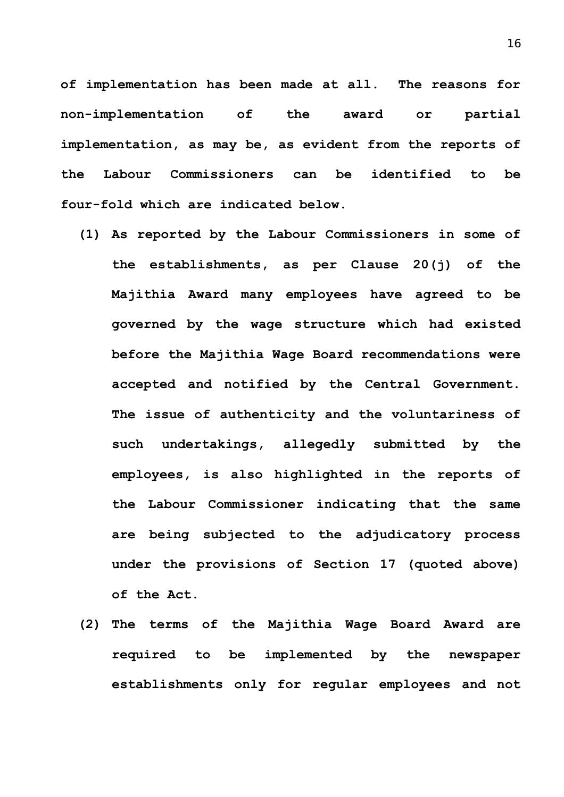**of implementation has been made at all. The reasons for non-implementation of the award or partial implementation, as may be, as evident from the reports of the Labour Commissioners can be identified to be four-fold which are indicated below.**

- **(1) As reported by the Labour Commissioners in some of the establishments, as per Clause 20(j) of the Majithia Award many employees have agreed to be governed by the wage structure which had existed before the Majithia Wage Board recommendations were accepted and notified by the Central Government. The issue of authenticity and the voluntariness of such undertakings, allegedly submitted by the employees, is also highlighted in the reports of the Labour Commissioner indicating that the same are being subjected to the adjudicatory process under the provisions of Section 17 (quoted above) of the Act.**
- **(2) The terms of the Majithia Wage Board Award are required to be implemented by the newspaper establishments only for regular employees and not**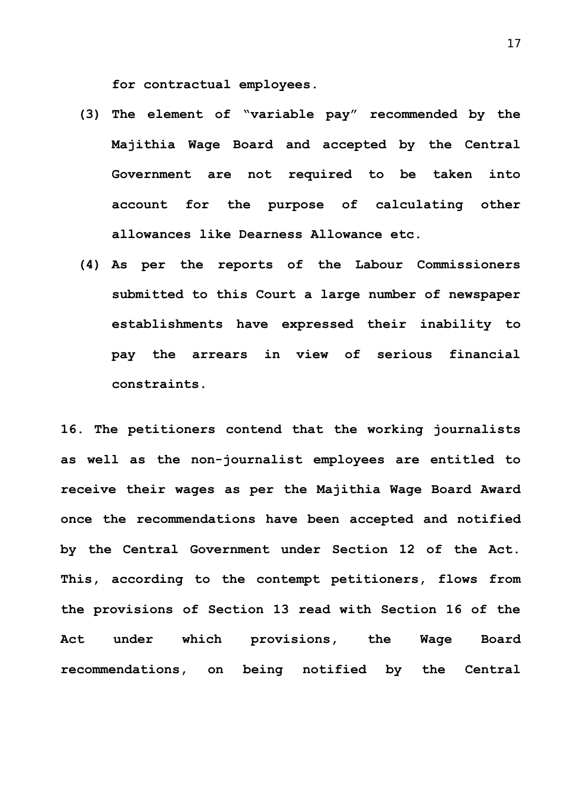**for contractual employees.**

- **(3) The element of "variable pay" recommended by the Majithia Wage Board and accepted by the Central Government are not required to be taken into account for the purpose of calculating other allowances like Dearness Allowance etc.**
- **(4) As per the reports of the Labour Commissioners submitted to this Court a large number of newspaper establishments have expressed their inability to pay the arrears in view of serious financial constraints.**

**16. The petitioners contend that the working journalists as well as the non-journalist employees are entitled to receive their wages as per the Majithia Wage Board Award once the recommendations have been accepted and notified by the Central Government under Section 12 of the Act. This, according to the contempt petitioners, flows from the provisions of Section 13 read with Section 16 of the Act under which provisions, the Wage Board recommendations, on being notified by the Central**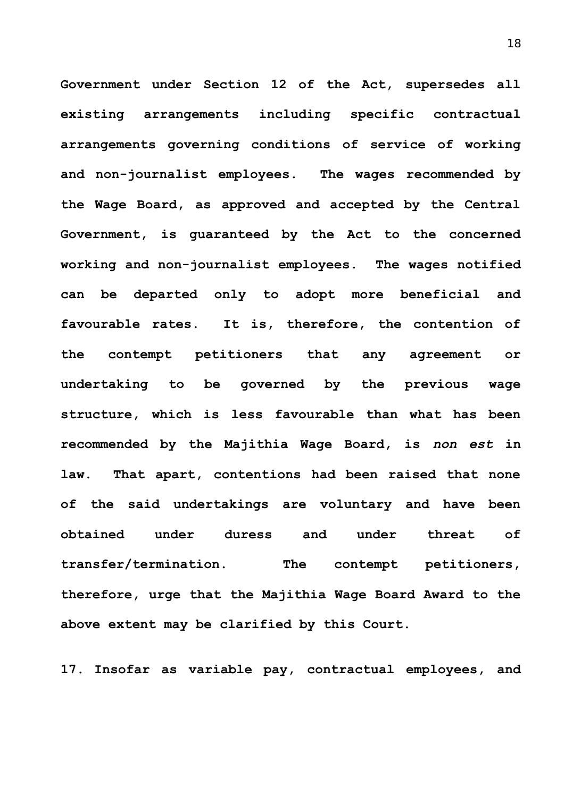**Government under Section 12 of the Act, supersedes all existing arrangements including specific contractual arrangements governing conditions of service of working and non-journalist employees. The wages recommended by the Wage Board, as approved and accepted by the Central Government, is guaranteed by the Act to the concerned working and non-journalist employees. The wages notified can be departed only to adopt more beneficial and favourable rates. It is, therefore, the contention of the contempt petitioners that any agreement or undertaking to be governed by the previous wage structure, which is less favourable than what has been recommended by the Majithia Wage Board, is** *non est* **in law. That apart, contentions had been raised that none of the said undertakings are voluntary and have been obtained under duress and under threat of transfer/termination. The contempt petitioners, therefore, urge that the Majithia Wage Board Award to the above extent may be clarified by this Court.**

**17. Insofar as variable pay, contractual employees, and**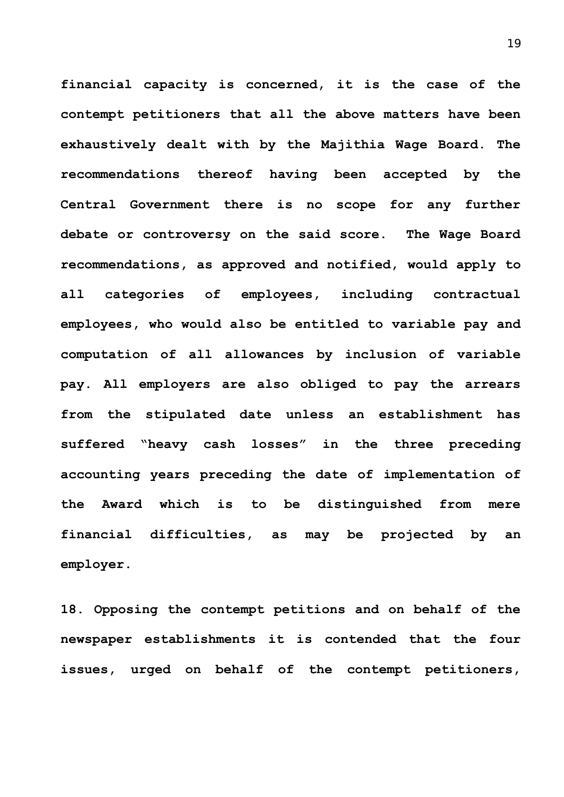**financial capacity is concerned, it is the case of the contempt petitioners that all the above matters have been exhaustively dealt with by the Majithia Wage Board. The recommendations thereof having been accepted by the Central Government there is no scope for any further debate or controversy on the said score. The Wage Board recommendations, as approved and notified, would apply to all categories of employees, including contractual employees, who would also be entitled to variable pay and computation of all allowances by inclusion of variable pay. All employers are also obliged to pay the arrears from the stipulated date unless an establishment has suffered "heavy cash losses" in the three preceding accounting years preceding the date of implementation of the Award which is to be distinguished from mere financial difficulties, as may be projected by an employer.**

**18. Opposing the contempt petitions and on behalf of the newspaper establishments it is contended that the four issues, urged on behalf of the contempt petitioners,**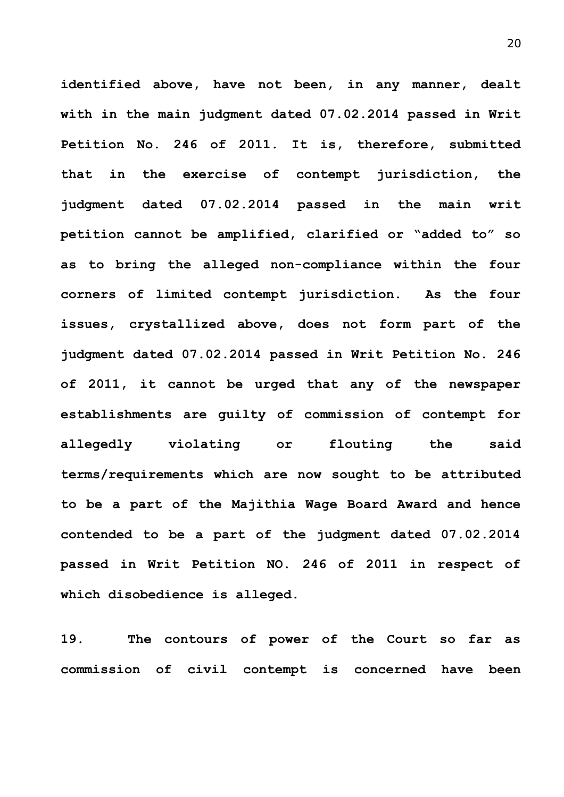**identified above, have not been, in any manner, dealt with in the main judgment dated 07.02.2014 passed in Writ Petition No. 246 of 2011. It is, therefore, submitted that in the exercise of contempt jurisdiction, the judgment dated 07.02.2014 passed in the main writ petition cannot be amplified, clarified or "added to" so as to bring the alleged non-compliance within the four corners of limited contempt jurisdiction. As the four issues, crystallized above, does not form part of the judgment dated 07.02.2014 passed in Writ Petition No. 246 of 2011, it cannot be urged that any of the newspaper establishments are guilty of commission of contempt for allegedly violating or flouting the said terms/requirements which are now sought to be attributed to be a part of the Majithia Wage Board Award and hence contended to be a part of the judgment dated 07.02.2014 passed in Writ Petition NO. 246 of 2011 in respect of which disobedience is alleged.**

**19. The contours of power of the Court so far as commission of civil contempt is concerned have been**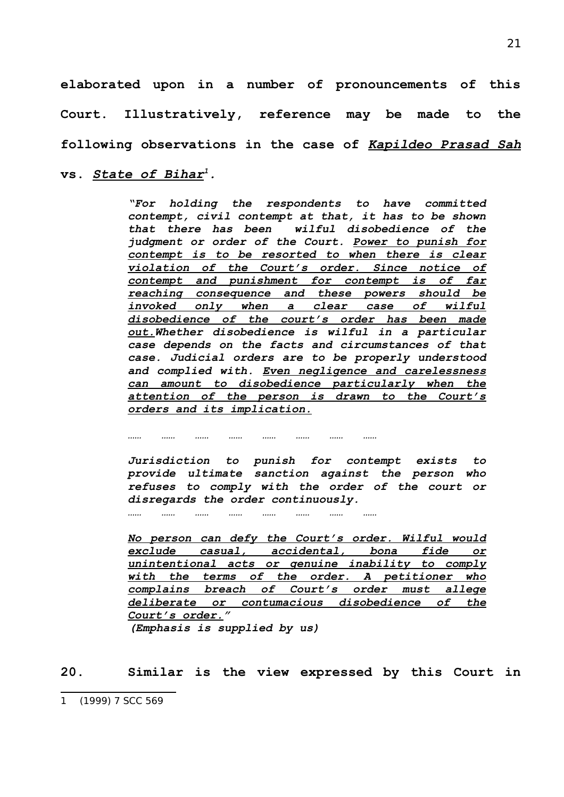**elaborated upon in a number of pronouncements of this Court. Illustratively, reference may be made to the following observations in the case of** *Kapildeo Prasad Sah* **vs.** *State of Bihar[1](#page-20-0).*

> *"For holding the respondents to have committed contempt, civil contempt at that, it has to be shown that there has been wilful disobedience of the judgment or order of the Court. Power to punish for contempt is to be resorted to when there is clear violation of the Court's order. Since notice of contempt and punishment for contempt is of far reaching consequence and these powers should be invoked only when a clear case of wilful disobedience of the court's order has been made out.Whether disobedience is wilful in a particular case depends on the facts and circumstances of that case. Judicial orders are to be properly understood and complied with. Even negligence and carelessness can amount to disobedience particularly when the attention of the person is drawn to the Court's orders and its implication.*

> *Jurisdiction to punish for contempt exists to provide ultimate sanction against the person who refuses to comply with the order of the court or disregards the order continuously.*

> *No person can defy the Court's order. Wilful would exclude casual, accidental, bona fide or unintentional acts or genuine inability to comply with the terms of the order. A petitioner who complains breach of Court's order must allege deliberate or contumacious disobedience of the Court's order." (Emphasis is supplied by us)*

**20. Similar is the view expressed by this Court in**

*…… …… …… …… …… …… …… ……*

*…… …… …… …… …… …… …… ……*

<span id="page-20-0"></span><sup>1</sup> (1999) 7 SCC 569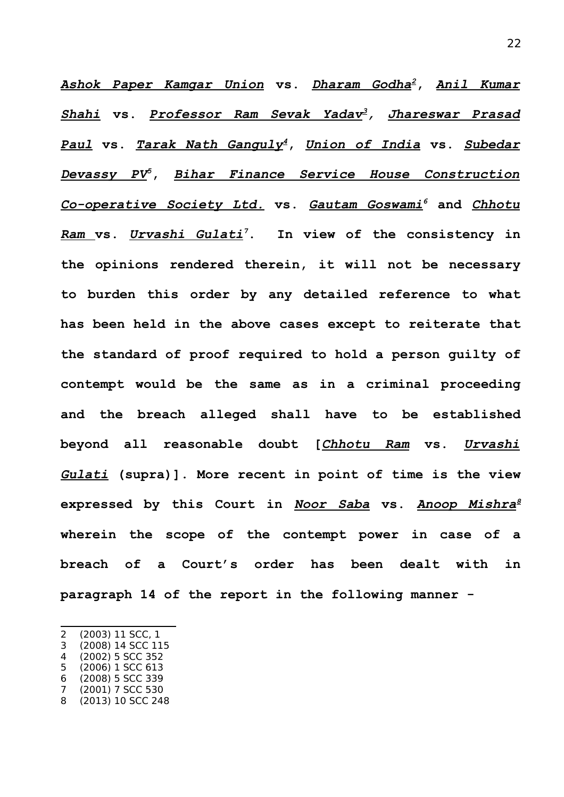*Ashok Paper Kamgar Union* **vs.** *Dharam Godha[2](#page-21-0)***,** *Anil Kumar Shahi* **vs.** *Professor Ram Sevak Yadav[3](#page-21-1), Jhareswar Prasad Paul* **vs.** *Tarak Nath Ganguly[4](#page-21-2)***,** *Union of India* **vs.** *Subedar Devassy PV[5](#page-21-3)***,** *Bihar Finance Service House Construction Co-operative Society Ltd.* **vs.** *Gautam Goswami[6](#page-21-4)* **and** *Chhotu Ram* **vs.** *Urvashi Gulati[7](#page-21-5)***. In view of the consistency in the opinions rendered therein, it will not be necessary to burden this order by any detailed reference to what has been held in the above cases except to reiterate that the standard of proof required to hold a person guilty of contempt would be the same as in a criminal proceeding and the breach alleged shall have to be established beyond all reasonable doubt [***Chhotu Ram* **vs.** *Urvashi Gulati* **(supra)]. More recent in point of time is the view expressed by this Court in** *Noor Saba* **vs.** *Anoop Mishra[8](#page-21-6)* **wherein the scope of the contempt power in case of a breach of a Court's order has been dealt with in paragraph 14 of the report in the following manner -** 

- <span id="page-21-1"></span>3 (2008) 14 SCC 115
- <span id="page-21-2"></span>4 (2002) 5 SCC 352
- <span id="page-21-3"></span>5 (2006) 1 SCC 613
- <span id="page-21-4"></span>6 (2008) 5 SCC 339

<span id="page-21-0"></span><sup>2</sup> (2003) 11 SCC, 1

<span id="page-21-5"></span><sup>7</sup> (2001) 7 SCC 530

<span id="page-21-6"></span><sup>8</sup> (2013) 10 SCC 248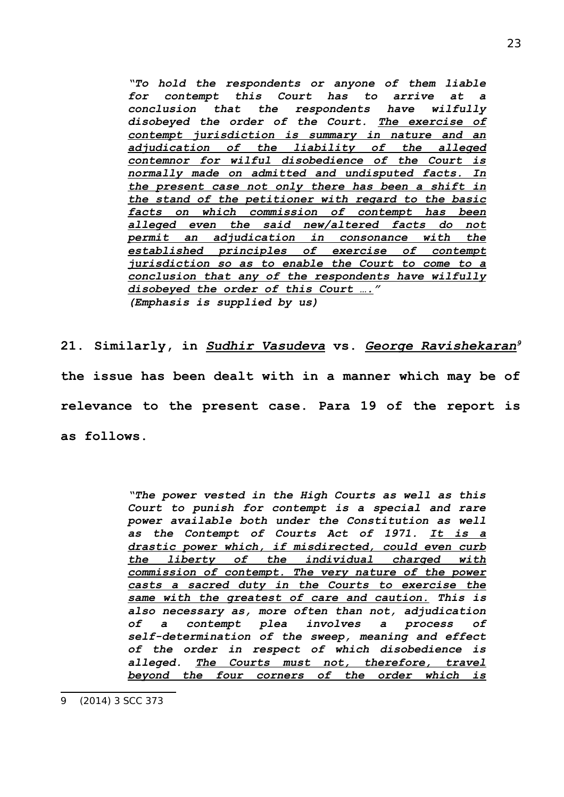*"To hold the respondents or anyone of them liable for contempt this Court has to arrive at a conclusion that the respondents have wilfully disobeyed the order of the Court. The exercise of contempt jurisdiction is summary in nature and an adjudication of the liability of the alleged contemnor for wilful disobedience of the Court is normally made on admitted and undisputed facts. In the present case not only there has been a shift in the stand of the petitioner with regard to the basic facts on which commission of contempt has been alleged even the said new/altered facts do not permit an adjudication in consonance with the established principles of exercise of contempt jurisdiction so as to enable the Court to come to a conclusion that any of the respondents have wilfully disobeyed the order of this Court …." (Emphasis is supplied by us)*

**21. Similarly, in** *Sudhir Vasudeva* **vs.** *George Ravishekaran[9](#page-22-0)* **the issue has been dealt with in a manner which may be of relevance to the present case. Para 19 of the report is as follows.**

> <span id="page-22-0"></span>*"The power vested in the High Courts as well as this Court to punish for contempt is a special and rare power available both under the Constitution as well as the Contempt of Courts Act of 1971. It is a drastic power which, if misdirected, could even curb the liberty of the individual charged with commission of contempt. The very nature of the power casts a sacred duty in the Courts to exercise the same with the greatest of care and caution. This is also necessary as, more often than not, adjudication of a contempt plea involves a process of self-determination of the sweep, meaning and effect of the order in respect of which disobedience is alleged. The Courts must not, therefore, travel beyond the four corners of the order which is*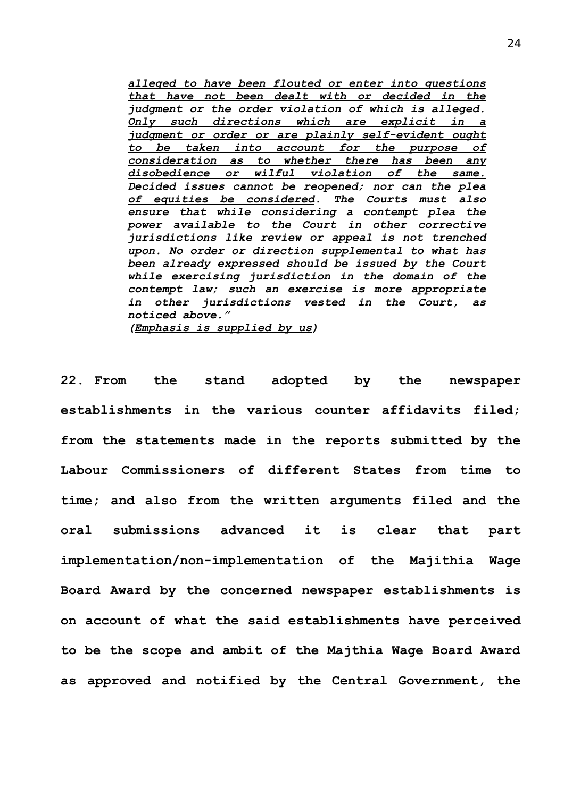*alleged to have been flouted or enter into questions that have not been dealt with or decided in the judgment or the order violation of which is alleged. Only such directions which are explicit in a judgment or order or are plainly self-evident ought to be taken into account for the purpose of consideration as to whether there has been any disobedience or wilful violation of the same. Decided issues cannot be reopened; nor can the plea of equities be considered. The Courts must also ensure that while considering a contempt plea the power available to the Court in other corrective jurisdictions like review or appeal is not trenched upon. No order or direction supplemental to what has been already expressed should be issued by the Court while exercising jurisdiction in the domain of the contempt law; such an exercise is more appropriate in other jurisdictions vested in the Court, as noticed above." (Emphasis is supplied by us)*

**22. From the stand adopted by the newspaper establishments in the various counter affidavits filed; from the statements made in the reports submitted by the Labour Commissioners of different States from time to time; and also from the written arguments filed and the oral submissions advanced it is clear that part implementation/non-implementation of the Majithia Wage Board Award by the concerned newspaper establishments is on account of what the said establishments have perceived to be the scope and ambit of the Majthia Wage Board Award as approved and notified by the Central Government, the**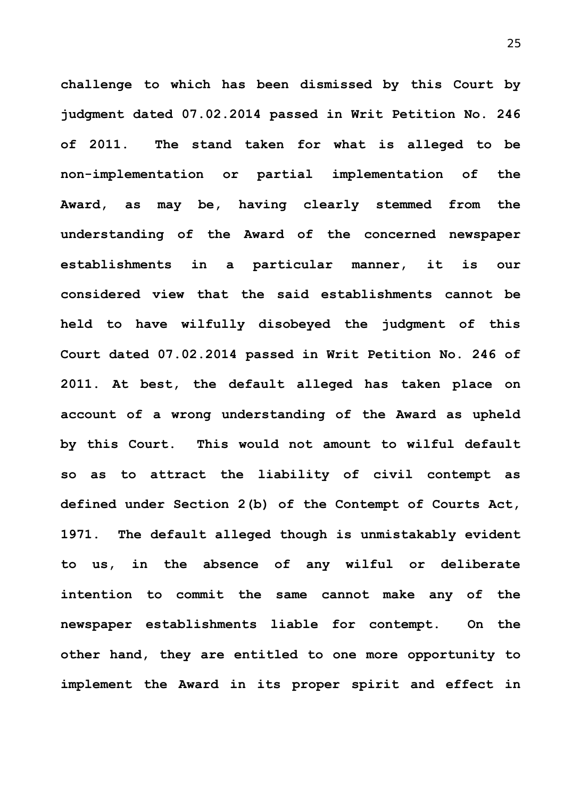**challenge to which has been dismissed by this Court by judgment dated 07.02.2014 passed in Writ Petition No. 246 of 2011. The stand taken for what is alleged to be non-implementation or partial implementation of the Award, as may be, having clearly stemmed from the understanding of the Award of the concerned newspaper establishments in a particular manner, it is our considered view that the said establishments cannot be held to have wilfully disobeyed the judgment of this Court dated 07.02.2014 passed in Writ Petition No. 246 of 2011. At best, the default alleged has taken place on account of a wrong understanding of the Award as upheld by this Court. This would not amount to wilful default so as to attract the liability of civil contempt as defined under Section 2(b) of the Contempt of Courts Act, 1971. The default alleged though is unmistakably evident to us, in the absence of any wilful or deliberate intention to commit the same cannot make any of the newspaper establishments liable for contempt. On the other hand, they are entitled to one more opportunity to implement the Award in its proper spirit and effect in**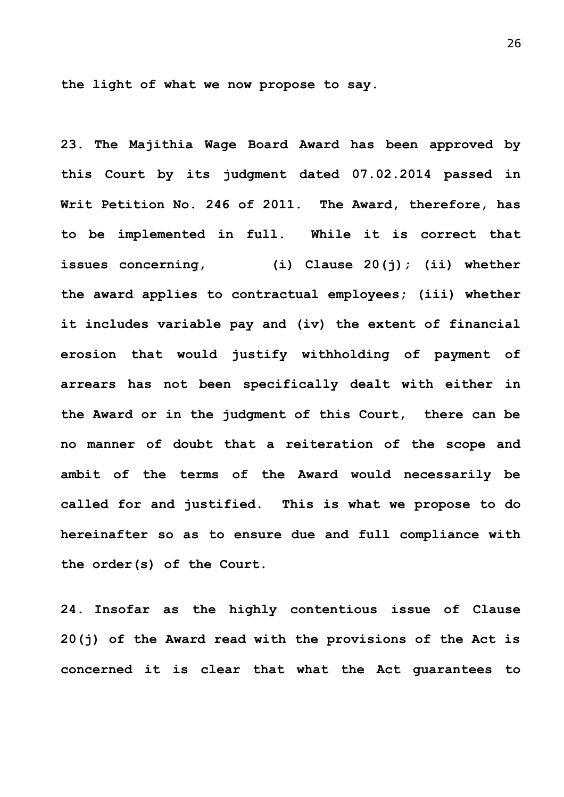**the light of what we now propose to say.**

**23. The Majithia Wage Board Award has been approved by this Court by its judgment dated 07.02.2014 passed in Writ Petition No. 246 of 2011. The Award, therefore, has to be implemented in full. While it is correct that issues concerning, (i) Clause 20(j); (ii) whether the award applies to contractual employees; (iii) whether it includes variable pay and (iv) the extent of financial erosion that would justify withholding of payment of arrears has not been specifically dealt with either in the Award or in the judgment of this Court, there can be no manner of doubt that a reiteration of the scope and ambit of the terms of the Award would necessarily be called for and justified. This is what we propose to do hereinafter so as to ensure due and full compliance with the order(s) of the Court.** 

**24. Insofar as the highly contentious issue of Clause 20(j) of the Award read with the provisions of the Act is concerned it is clear that what the Act guarantees to**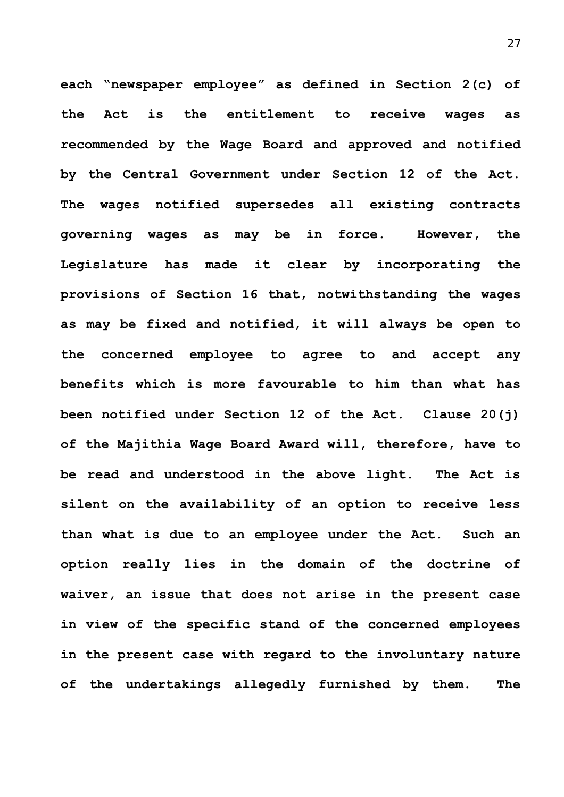**each "newspaper employee" as defined in Section 2(c) of the Act is the entitlement to receive wages as recommended by the Wage Board and approved and notified by the Central Government under Section 12 of the Act. The wages notified supersedes all existing contracts governing wages as may be in force. However, the Legislature has made it clear by incorporating the provisions of Section 16 that, notwithstanding the wages as may be fixed and notified, it will always be open to the concerned employee to agree to and accept any benefits which is more favourable to him than what has been notified under Section 12 of the Act. Clause 20(j) of the Majithia Wage Board Award will, therefore, have to be read and understood in the above light. The Act is silent on the availability of an option to receive less than what is due to an employee under the Act. Such an option really lies in the domain of the doctrine of waiver, an issue that does not arise in the present case in view of the specific stand of the concerned employees in the present case with regard to the involuntary nature of the undertakings allegedly furnished by them. The**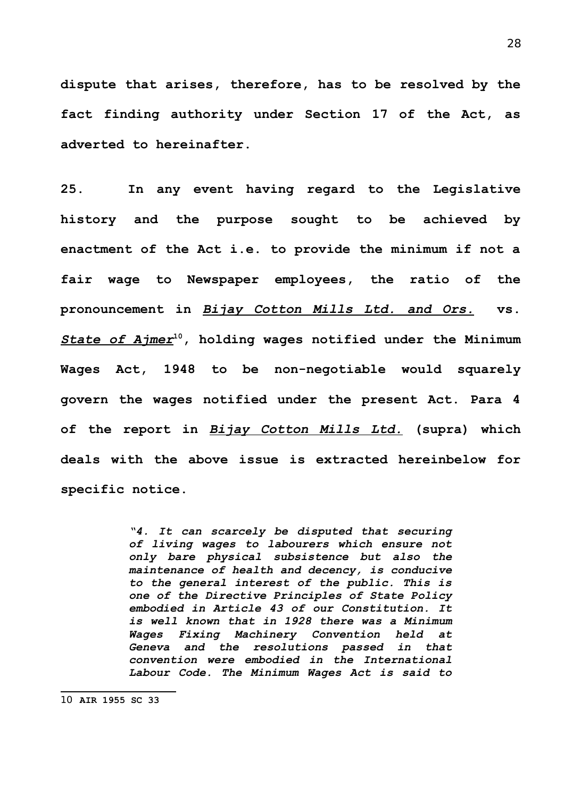**dispute that arises, therefore, has to be resolved by the fact finding authority under Section 17 of the Act, as adverted to hereinafter.** 

**25. In any event having regard to the Legislative history and the purpose sought to be achieved by enactment of the Act i.e. to provide the minimum if not a fair wage to Newspaper employees, the ratio of the pronouncement in** *Bijay Cotton Mills Ltd. and Ors.* **vs.** *State of Ajmer***[10](#page-27-0), holding wages notified under the Minimum Wages Act, 1948 to be non-negotiable would squarely govern the wages notified under the present Act. Para 4 of the report in** *Bijay Cotton Mills Ltd.* **(supra) which deals with the above issue is extracted hereinbelow for specific notice.**

> <span id="page-27-0"></span>*"4. It can scarcely be disputed that securing of living wages to labourers which ensure not only bare physical subsistence but also the maintenance of health and decency, is conducive to the general interest of the public. This is one of the Directive Principles of State Policy embodied in Article 43 of our Constitution. It is well known that in 1928 there was a Minimum Wages Fixing Machinery Convention held at Geneva and the resolutions passed in that convention were embodied in the International Labour Code. The Minimum Wages Act is said to*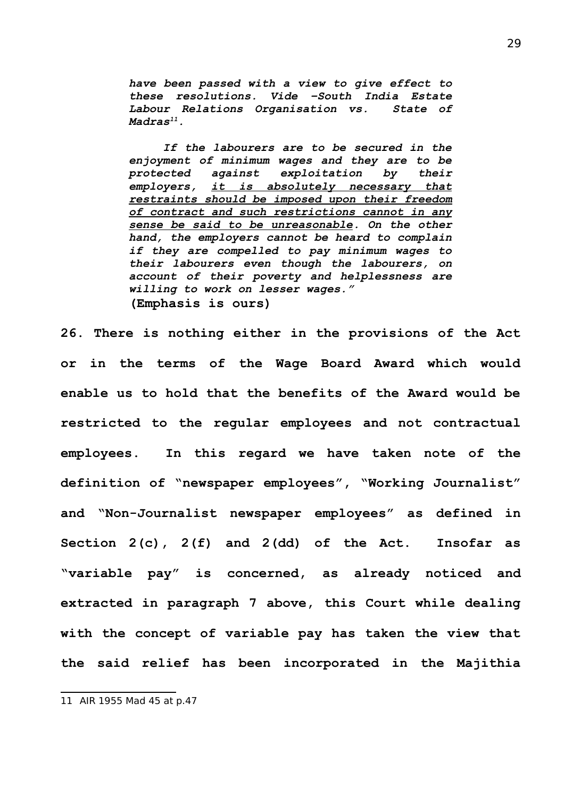*have been passed with a view to give effect to these resolutions. Vide –South India Estate Labour Relations Organisation vs. State of Madras[11](#page-28-0).* 

*If the labourers are to be secured in the enjoyment of minimum wages and they are to be protected against exploitation by their employers, it is absolutely necessary that restraints should be imposed upon their freedom of contract and such restrictions cannot in any sense be said to be unreasonable. On the other hand, the employers cannot be heard to complain if they are compelled to pay minimum wages to their labourers even though the labourers, on account of their poverty and helplessness are willing to work on lesser wages."* **(Emphasis is ours)**

**26. There is nothing either in the provisions of the Act or in the terms of the Wage Board Award which would enable us to hold that the benefits of the Award would be restricted to the regular employees and not contractual employees. In this regard we have taken note of the definition of "newspaper employees", "Working Journalist" and "Non-Journalist newspaper employees" as defined in Section 2(c), 2(f) and 2(dd) of the Act. Insofar as "variable pay" is concerned, as already noticed and extracted in paragraph 7 above, this Court while dealing with the concept of variable pay has taken the view that the said relief has been incorporated in the Majithia**

<span id="page-28-0"></span><sup>11</sup> AIR 1955 Mad 45 at p.47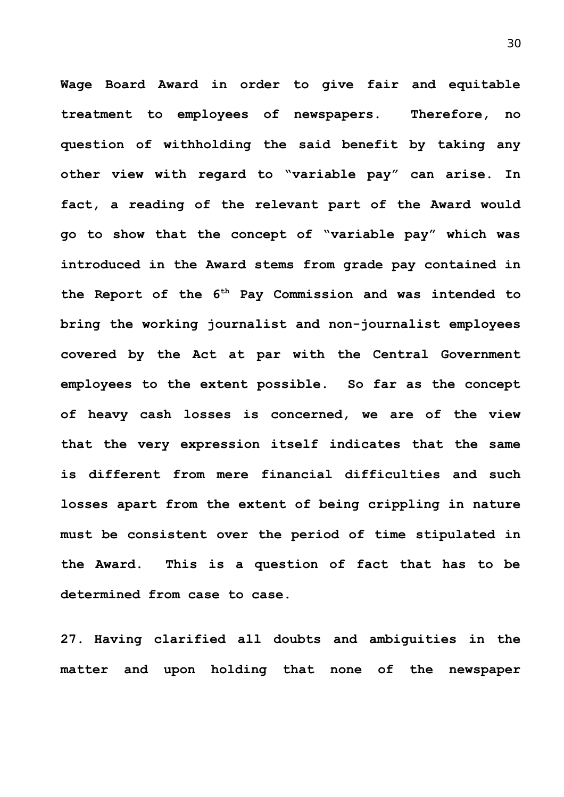**Wage Board Award in order to give fair and equitable treatment to employees of newspapers. Therefore, no question of withholding the said benefit by taking any other view with regard to "variable pay" can arise. In fact, a reading of the relevant part of the Award would go to show that the concept of "variable pay" which was introduced in the Award stems from grade pay contained in the Report of the 6th Pay Commission and was intended to bring the working journalist and non-journalist employees covered by the Act at par with the Central Government employees to the extent possible. So far as the concept of heavy cash losses is concerned, we are of the view that the very expression itself indicates that the same is different from mere financial difficulties and such losses apart from the extent of being crippling in nature must be consistent over the period of time stipulated in the Award. This is a question of fact that has to be determined from case to case.** 

**27. Having clarified all doubts and ambiguities in the matter and upon holding that none of the newspaper**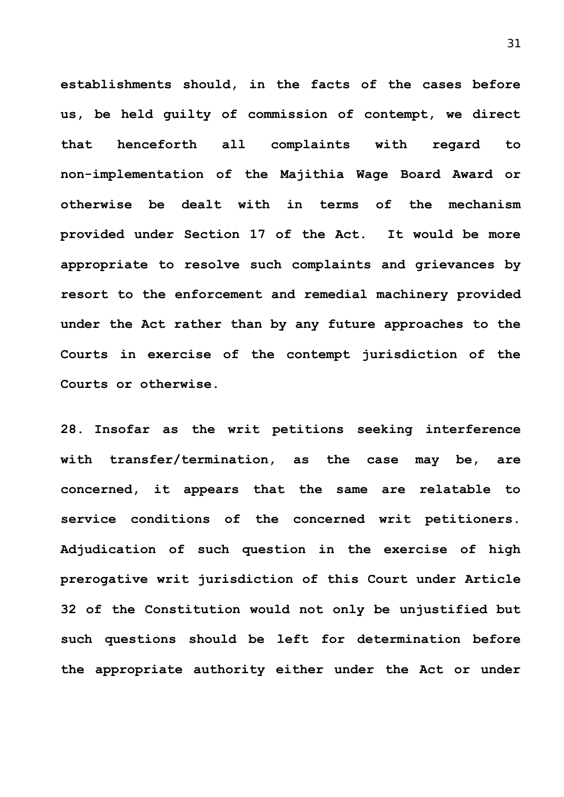**establishments should, in the facts of the cases before us, be held guilty of commission of contempt, we direct that henceforth all complaints with regard to non-implementation of the Majithia Wage Board Award or otherwise be dealt with in terms of the mechanism provided under Section 17 of the Act. It would be more appropriate to resolve such complaints and grievances by resort to the enforcement and remedial machinery provided under the Act rather than by any future approaches to the Courts in exercise of the contempt jurisdiction of the Courts or otherwise.** 

**28. Insofar as the writ petitions seeking interference with transfer/termination, as the case may be, are concerned, it appears that the same are relatable to service conditions of the concerned writ petitioners. Adjudication of such question in the exercise of high prerogative writ jurisdiction of this Court under Article 32 of the Constitution would not only be unjustified but such questions should be left for determination before the appropriate authority either under the Act or under**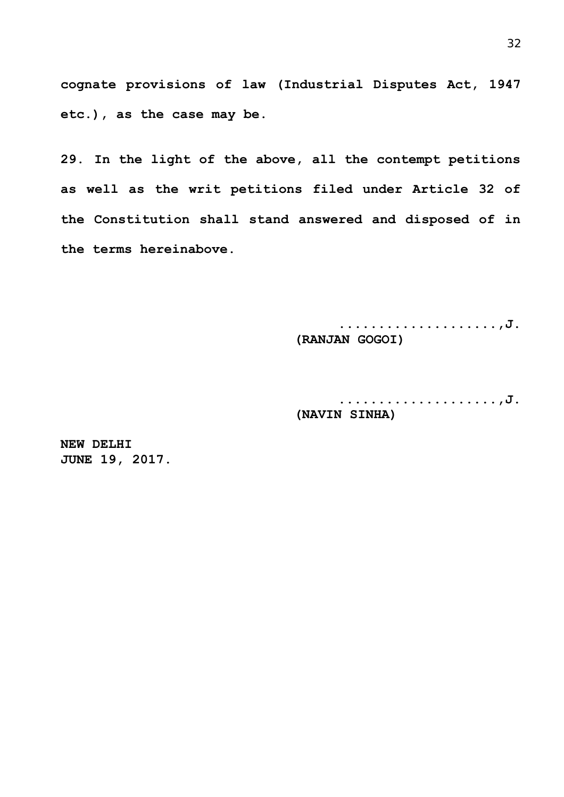**cognate provisions of law (Industrial Disputes Act, 1947 etc.), as the case may be.** 

**29. In the light of the above, all the contempt petitions as well as the writ petitions filed under Article 32 of the Constitution shall stand answered and disposed of in the terms hereinabove.**

> **....................,J. (RANJAN GOGOI)**

> **....................,J. (NAVIN SINHA)**

**NEW DELHI JUNE 19, 2017.**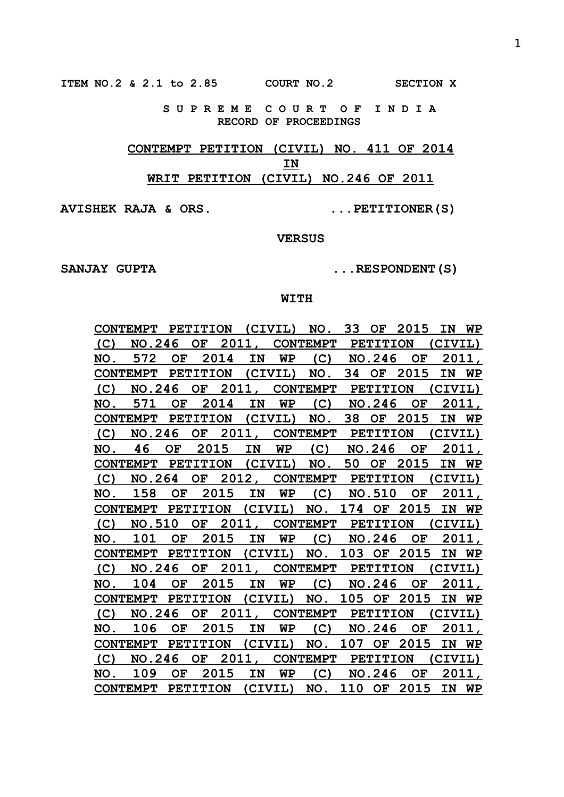**ITEM NO.2 & 2.1 to 2.85 COURT NO.2 SECTION X**

 **S U P R E M E C O U R T O F I N D I A RECORD OF PROCEEDINGS**

# **CONTEMPT PETITION (CIVIL) NO. 411 OF 2014 IN WRIT PETITION (CIVIL) NO.246 OF 2011**

**AVISHEK RAJA & ORS. ...PETITIONER(S)**

#### **VERSUS**

SANJAY GUPTA  $\ldots$ RESPONDENT(S)

### **WITH**

| CONTEMPT PETITION (CIVIL) NO. 33 OF 2015 IN WP  |  |  |  |  |  |           |
|-------------------------------------------------|--|--|--|--|--|-----------|
| (C) NO.246 OF 2011, CONTEMPT PETITION (CIVIL)   |  |  |  |  |  |           |
| NO. 572 OF 2014 IN WP (C) NO.246 OF             |  |  |  |  |  | 2011,     |
| CONTEMPT PETITION (CIVIL) NO. 34 OF 2015 IN     |  |  |  |  |  | <b>WP</b> |
| (C) NO.246 OF 2011, CONTEMPT PETITION (CIVIL)   |  |  |  |  |  |           |
| NO. 571 OF 2014 IN WP (C) NO.246 OF 2011,       |  |  |  |  |  |           |
| CONTEMPT PETITION (CIVIL) NO. 38 OF 2015 IN WP  |  |  |  |  |  |           |
| (C) NO.246 OF 2011, CONTEMPT PETITION (CIVIL)   |  |  |  |  |  |           |
| NO. 46 OF 2015 IN WP (C) NO.246 OF 2011,        |  |  |  |  |  |           |
| CONTEMPT PETITION (CIVIL) NO. 50 OF 2015 IN WP  |  |  |  |  |  |           |
| (C) NO.264 OF 2012, CONTEMPT PETITION (CIVIL)   |  |  |  |  |  |           |
| NO. 158 OF 2015 IN WP (C) NO.510 OF 2011,       |  |  |  |  |  |           |
| CONTEMPT PETITION (CIVIL) NO. 174 OF 2015 IN WP |  |  |  |  |  |           |
| (C) NO.510 OF 2011, CONTEMPT PETITION (CIVIL)   |  |  |  |  |  |           |
| NO. 101 OF 2015 IN WP (C) NO.246 OF 2011,       |  |  |  |  |  |           |
| CONTEMPT PETITION (CIVIL) NO. 103 OF 2015 IN WP |  |  |  |  |  |           |
| (C) NO.246 OF 2011, CONTEMPT PETITION (CIVIL)   |  |  |  |  |  |           |
| NO. 104 OF 2015 IN WP (C) NO.246 OF 2011,       |  |  |  |  |  |           |
| CONTEMPT PETITION (CIVIL) NO. 105 OF 2015 IN WP |  |  |  |  |  |           |
| (C) NO.246 OF 2011, CONTEMPT PETITION (CIVIL)   |  |  |  |  |  |           |
| NO. 106 OF 2015 IN WP (C) NO.246 OF 2011,       |  |  |  |  |  |           |
| CONTEMPT PETITION (CIVIL) NO. 107 OF 2015 IN WP |  |  |  |  |  |           |
| (C) NO.246 OF 2011, CONTEMPT PETITION (CIVIL)   |  |  |  |  |  |           |
| NO. 109 OF 2015 IN WP (C) NO.246 OF 2011,       |  |  |  |  |  |           |
| CONTEMPT PETITION (CIVIL) NO. 110 OF 2015 IN WP |  |  |  |  |  |           |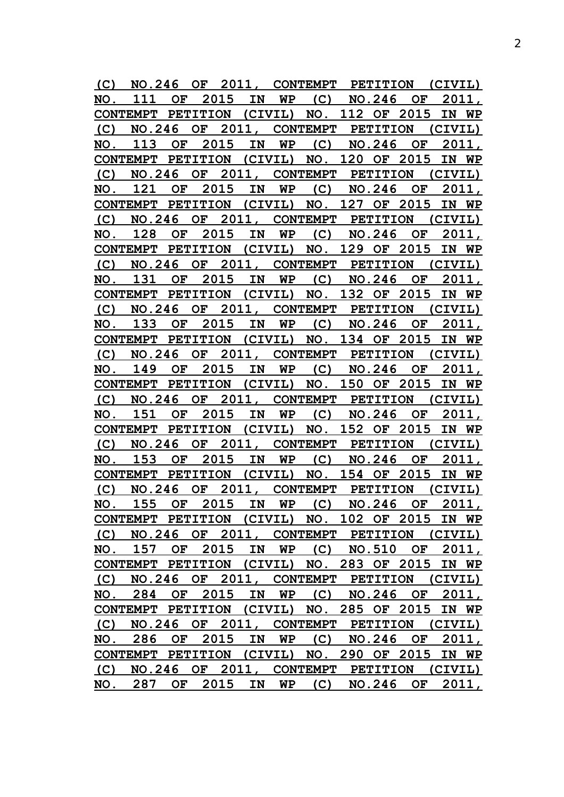| (C) |                                                  |           |    |      |               |           | NO.246 OF 2011, CONTEMPT PETITION (CIVIL) |              |        |                 |         |       |
|-----|--------------------------------------------------|-----------|----|------|---------------|-----------|-------------------------------------------|--------------|--------|-----------------|---------|-------|
| NO. | 111                                              |           |    |      | OF 2015 IN WP |           | (C) NO.246 OF                             |              |        |                 |         | 2011, |
|     | CONTEMPT PETITION (CIVIL) NO. 112 OF 2015        |           |    |      |               |           |                                           |              |        |                 | IN      | WP    |
| (C) | NO.246 OF                                        |           |    |      |               |           | 2011, CONTEMPT PETITION (CIVIL)           |              |        |                 |         |       |
| NO. | 113                                              | OF        |    | 2015 | IN            |           | $WP$ (C) NO.246 OF                        |              |        |                 |         | 2011, |
|     | CONTEMPT PETITION (CIVIL) NO. 120 OF 2015        |           |    |      |               |           |                                           |              |        |                 |         | IN WP |
| (C) |                                                  |           |    |      |               |           | NO.246 OF 2011, CONTEMPT PETITION (CIVIL) |              |        |                 |         |       |
| NO. | 121                                              | OF        |    | 2015 | IN            |           | $WP$ (C) NO.246 OF                        |              |        |                 |         | 2011, |
|     | CONTEMPT PETITION (CIVIL) NO. 127 OF 2015        |           |    |      |               |           |                                           |              |        |                 |         | IN WP |
| (C) |                                                  |           |    |      |               |           | NO.246 OF 2011, CONTEMPT PETITION         |              |        |                 | (CIVIL) |       |
| NO. | 128                                              | OF        |    | 2015 | IN            |           | $WP$ (C) NO.246 OF                        |              |        |                 |         | 2011, |
|     | CONTEMPT PETITION (CIVIL) NO. 129 OF 2015        |           |    |      |               |           |                                           |              |        |                 |         | IN WP |
| (C) |                                                  |           |    |      |               |           | NO.246 OF 2011, CONTEMPT PETITION (CIVIL) |              |        |                 |         |       |
| NO. | 131                                              | OF        |    | 2015 | IN            | <b>WP</b> |                                           |              |        | $(C)$ NO.246 OF |         | 2011, |
|     | CONTEMPT PETITION (CIVIL)                        |           |    |      |               |           | NO. 132 OF 2015                           |              |        |                 | IN      | WP    |
|     | (C) NO.246 OF 2011, CONTEMPT PETITION (CIVIL)    |           |    |      |               |           |                                           |              |        |                 |         |       |
| NO. | 133                                              | OF        |    | 2015 | IN            | WP        |                                           | $(C)$ NO.246 |        | OF              |         | 2011, |
|     | CONTEMPT PETITION (CIVIL) NO. 134 OF 2015        |           |    |      |               |           |                                           |              |        |                 |         | IN WP |
|     | (C) NO.246 OF 2011, CONTEMPT PETITION (CIVIL)    |           |    |      |               |           |                                           |              |        |                 |         |       |
| NO. | 149                                              | OF        |    | 2015 | IN            | WP        |                                           |              |        | $(C)$ NO.246 OF |         | 2011, |
|     | CONTEMPT PETITION (CIVIL) NO. 150 OF 2015        |           |    |      |               |           |                                           |              |        |                 | IN      | WP    |
| (C) | NO.246 OF                                        |           |    |      |               |           | 2011, CONTEMPT PETITION (CIVIL)           |              |        |                 |         |       |
| NO. | 151                                              | OF        |    | 2015 | IN            | WP        | (C)                                       |              | NO.246 | OF              |         | 2011, |
|     | CONTEMPT PETITION (CIVIL) NO. 152 OF 2015        |           |    |      |               |           |                                           |              |        |                 |         | IN WP |
| (C) | NO.246                                           |           | OF |      |               |           | 2011, CONTEMPT PETITION                   |              |        |                 | (CIVIL) |       |
| NO. | 153                                              | <b>OF</b> |    | 2015 | IN            | WP        | (C)                                       |              | NO.246 | OF              |         | 2011, |
|     | CONTEMPT PETITION (CIVIL) NO. 154 OF 2015 IN WP  |           |    |      |               |           |                                           |              |        |                 |         |       |
| (C) |                                                  |           |    |      |               |           | NO.246 OF 2011, CONTEMPT PETITION         |              |        |                 | (CIVIL) |       |
|     | NO. 155 OF 2015 IN WP (C) NO.246 OF 2011,        |           |    |      |               |           |                                           |              |        |                 |         |       |
|     | CONTEMPT PETITION (CIVIL) NO. 102 OF 2015 IN WP  |           |    |      |               |           |                                           |              |        |                 |         |       |
|     | (C) NO.246 OF 2011, CONTEMPT PETITION (CIVIL)    |           |    |      |               |           |                                           |              |        |                 |         |       |
|     | NO. 157 OF 2015 IN WP (C) NO.510 OF 2011,        |           |    |      |               |           |                                           |              |        |                 |         |       |
|     | CONTEMPT PETITION (CIVIL) NO. 283 OF 2015 IN WP  |           |    |      |               |           |                                           |              |        |                 |         |       |
|     | (C) NO.246 OF 2011, CONTEMPT PETITION (CIVIL)    |           |    |      |               |           |                                           |              |        |                 |         |       |
|     | NO. 284 OF 2015 IN WP (C) NO.246 OF 2011,        |           |    |      |               |           |                                           |              |        |                 |         |       |
|     | CONTEMPT PETITION (CIVIL) NO. 285 OF 2015 IN WP  |           |    |      |               |           |                                           |              |        |                 |         |       |
|     | (C) NO.246 OF 2011, CONTEMPT PETITION (CIVIL)    |           |    |      |               |           |                                           |              |        |                 |         |       |
|     | NO. 286 OF 2015 IN WP (C) NO.246 OF 2011,        |           |    |      |               |           |                                           |              |        |                 |         |       |
|     | CONTEMPT PETITION (CIVIL) NO. 290 OF 2015 IN WP  |           |    |      |               |           |                                           |              |        |                 |         |       |
|     | (C) NO.246 OF 2011, CONTEMPT PETITION (CIVIL)    |           |    |      |               |           |                                           |              |        |                 |         |       |
|     | <u>NO. 287 OF 2015 IN WP (C) NO.246 OF 2011,</u> |           |    |      |               |           |                                           |              |        |                 |         |       |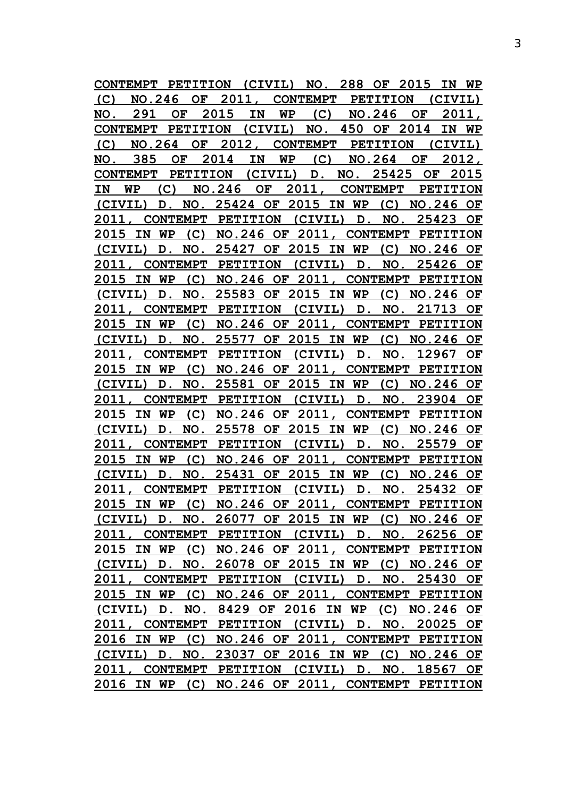|       | <b>CONTEMPT</b>                                  |           | PETITION (CIVIL) NO. 288 OF           |        |           |    |                                       |     |             |                         | 2015 |               | IN      | WP   |
|-------|--------------------------------------------------|-----------|---------------------------------------|--------|-----------|----|---------------------------------------|-----|-------------|-------------------------|------|---------------|---------|------|
| (C)   | NO.246                                           |           |                                       |        |           |    | OF 2011, CONTEMPT PETITION            |     |             |                         |      |               | (CIVIL) |      |
| NO.   | 291                                              |           | OF                                    | 2015   | IN        |    | WP                                    | (C) |             | NO.246                  |      | OF.           | 2011,   |      |
|       | CONTEMPT PETITION (CIVIL) NO. 450 OF 2014        |           |                                       |        |           |    |                                       |     |             |                         |      |               | IN WP   |      |
| (C)   | NO.264                                           |           | OF                                    |        |           |    | 2012, CONTEMPT                        |     |             | <b>PETITION</b>         |      |               | (CIVIL) |      |
| NO.   | 385                                              |           | OF                                    | 2014   | IN        |    | WP                                    | (C) |             | <b>NO.264</b>           |      | OF            | 2012,   |      |
|       | CONTEMPT PETITION (CIVIL) D. NO. 25425           |           |                                       |        |           |    |                                       |     |             |                         |      | OF            |         | 2015 |
| IN    | WP                                               | (C)       |                                       | NO.246 |           | OF | 2011,                                 |     |             | CONTEMPT PETITION       |      |               |         |      |
|       | (CIVIL)                                          |           | D. NO. 25424 OF 2015 IN WP            |        |           |    |                                       |     |             |                         |      | $(C)$ NO. 246 |         | OF   |
| 2011, |                                                  |           | CONTEMPT PETITION (CIVIL) D.          |        |           |    |                                       |     |             | NO.                     |      | 25423         |         | OF   |
|       | 2015 IN                                          | WP.       | (C) NO.246 OF 2011, CONTEMPT PETITION |        |           |    |                                       |     |             |                         |      |               |         |      |
|       | (CIVIL)                                          | D.        | NO.                                   |        | 25427 OF  |    | 2015 IN WP                            |     |             |                         |      | $(C)$ NO. 246 |         | OF   |
| 2011, |                                                  |           | <b>CONTEMPT</b>                       |        |           |    | PETITION (CIVIL) D.                   |     |             | NO.                     |      | 25426         |         | OF   |
| 2015  | IN                                               | <b>WP</b> |                                       |        |           |    | (C) NO.246 OF 2011, CONTEMPT PETITION |     |             |                         |      |               |         |      |
|       | (CIVIL)                                          | D.        | NO.                                   |        | 25583 OF  |    | 2015 IN WP                            |     |             | (C)                     |      | <b>NO.246</b> |         | OF   |
| 2011, |                                                  |           | CONTEMPT PETITION (CIVIL) D.          |        |           |    |                                       |     |             |                         | NO.  | 21713         |         | OF   |
|       | 2015 IN WP                                       |           |                                       |        |           |    | (C) NO.246 OF 2011, CONTEMPT PETITION |     |             |                         |      |               |         |      |
|       | (CIVIL)                                          | D.        | NO.                                   |        |           |    | 25577 OF 2015 IN WP                   |     |             |                         |      | $(C)$ NO. 246 |         | OF   |
| 2011, |                                                  |           | CONTEMPT PETITION (CIVIL) D.          |        |           |    |                                       |     |             | NO.                     |      | 12967         |         | OF   |
|       | 2015 IN WP                                       |           |                                       |        |           |    | (C) NO.246 OF 2011, CONTEMPT PETITION |     |             |                         |      |               |         |      |
|       | (CIVIL)                                          | D.        | NO.                                   |        |           |    | 25581 OF 2015 IN WP                   |     |             |                         |      | $(C)$ NO. 246 |         | OF   |
| 2011, |                                                  |           | CONTEMPT PETITION (CIVIL)             |        |           |    |                                       |     | D.          | NO.                     |      | 23904         |         | OF   |
| 2015  | IN                                               | WP        | (C)                                   |        |           |    | NO.246 OF 2011, CONTEMPT PETITION     |     |             |                         |      |               |         |      |
|       | (CIVIL)                                          | D.        | NO.                                   |        |           |    | 25578 OF 2015 IN WP                   |     |             |                         |      | $(C)$ NO. 246 |         | OF   |
| 2011  |                                                  |           | CONTEMPT PETITION                     |        |           |    | (CIVIL)                               |     | D.          | NO.                     |      | 25579         |         | OF   |
| 2015  | IN                                               | WP        | (C)                                   |        | NO.246 OF |    |                                       |     |             | 2011, CONTEMPT PETITION |      |               |         |      |
|       | (CIVIL)                                          | $D$ .     |                                       |        |           |    | NO. 25431 OF 2015 IN WP               |     |             | (C) NO.246 OF           |      |               |         |      |
| 2011, |                                                  |           | CONTEMPT PETITION (CIVIL)             |        |           |    |                                       |     | $D_{\cdot}$ | NO.                     |      | 25432         |         | OF   |
|       | 2015 IN WP (C) NO.246 OF 2011, CONTEMPT PETITION |           |                                       |        |           |    |                                       |     |             |                         |      |               |         |      |
|       | (CIVIL) D. NO. 26077 OF 2015 IN WP (C) NO.246 OF |           |                                       |        |           |    |                                       |     |             |                         |      |               |         |      |
|       | 2011, CONTEMPT PETITION (CIVIL) D. NO. 26256 OF  |           |                                       |        |           |    |                                       |     |             |                         |      |               |         |      |
|       | 2015 IN WP (C) NO.246 OF 2011, CONTEMPT PETITION |           |                                       |        |           |    |                                       |     |             |                         |      |               |         |      |
|       | (CIVIL) D. NO. 26078 OF 2015 IN WP (C) NO.246 OF |           |                                       |        |           |    |                                       |     |             |                         |      |               |         |      |
|       | 2011, CONTEMPT PETITION (CIVIL) D. NO. 25430 OF  |           |                                       |        |           |    |                                       |     |             |                         |      |               |         |      |
|       | 2015 IN WP (C) NO.246 OF 2011, CONTEMPT PETITION |           |                                       |        |           |    |                                       |     |             |                         |      |               |         |      |
|       | (CIVIL) D. NO. 8429 OF 2016 IN WP (C) NO.246 OF  |           |                                       |        |           |    |                                       |     |             |                         |      |               |         |      |
|       | 2011, CONTEMPT PETITION (CIVIL) D. NO. 20025 OF  |           |                                       |        |           |    |                                       |     |             |                         |      |               |         |      |
|       | 2016 IN WP (C) NO.246 OF 2011, CONTEMPT PETITION |           |                                       |        |           |    |                                       |     |             |                         |      |               |         |      |
|       | (CIVIL) D. NO. 23037 OF 2016 IN WP (C) NO.246 OF |           |                                       |        |           |    |                                       |     |             |                         |      |               |         |      |
|       | 2011, CONTEMPT PETITION (CIVIL) D. NO. 18567 OF  |           |                                       |        |           |    |                                       |     |             |                         |      |               |         |      |
|       | 2016 IN WP (C) NO.246 OF 2011, CONTEMPT PETITION |           |                                       |        |           |    |                                       |     |             |                         |      |               |         |      |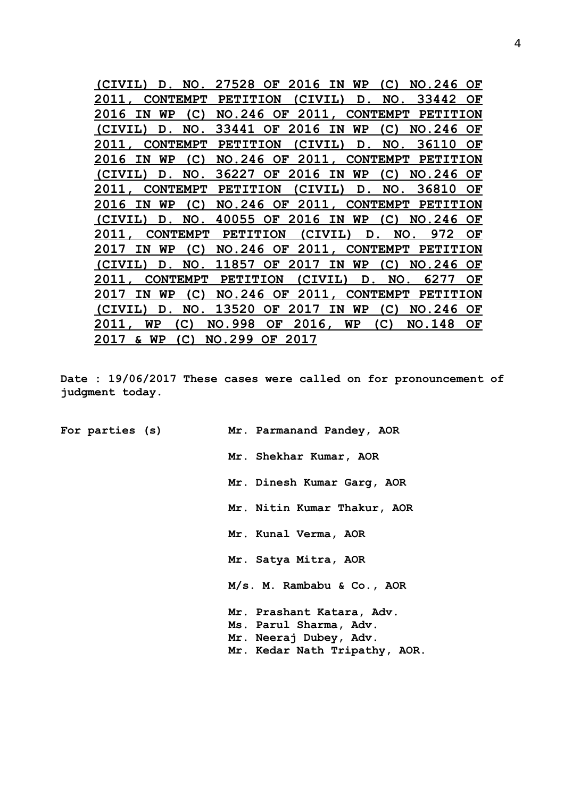**(CIVIL) D. NO. 27528 OF 2016 IN WP (C) NO.246 OF 2011, CONTEMPT PETITION (CIVIL) D. NO. 33442 OF 2016 IN WP (C) NO.246 OF 2011, CONTEMPT PETITION (CIVIL) D. NO. 33441 OF 2016 IN WP (C) NO.246 OF 2011, CONTEMPT PETITION (CIVIL) D. NO. 36110 OF 2016 IN WP (C) NO.246 OF 2011, CONTEMPT PETITION (CIVIL) D. NO. 36227 OF 2016 IN WP (C) NO.246 OF 2011, CONTEMPT PETITION (CIVIL) D. NO. 36810 OF 2016 IN WP (C) NO.246 OF 2011, CONTEMPT PETITION (CIVIL) D. NO. 40055 OF 2016 IN WP (C) NO.246 OF 2011, CONTEMPT PETITION (CIVIL) D. NO. 972 OF 2017 IN WP (C) NO.246 OF 2011, CONTEMPT PETITION (CIVIL) D. NO. 11857 OF 2017 IN WP (C) NO.246 OF 2011, CONTEMPT PETITION (CIVIL) D. NO. 6277 OF 2017 IN WP (C) NO.246 OF 2011, CONTEMPT PETITION (CIVIL) D. NO. 13520 OF 2017 IN WP (C) NO.246 OF 2011, WP (C) NO.998 OF 2016, WP (C) NO.148 OF 2017 & WP (C) NO.299 OF 2017**

**Date : 19/06/2017 These cases were called on for pronouncement of judgment today.**

**For parties (s) Mr. Parmanand Pandey, AOR**

**Mr. Shekhar Kumar, AOR**

**Mr. Dinesh Kumar Garg, AOR**

**Mr. Nitin Kumar Thakur, AOR**

**Mr. Kunal Verma, AOR**

**Mr. Satya Mitra, AOR**

**M/s. M. Rambabu & Co., AOR**

**Mr. Prashant Katara, Adv. Ms. Parul Sharma, Adv. Mr. Neeraj Dubey, Adv.**

**Mr. Kedar Nath Tripathy, AOR.**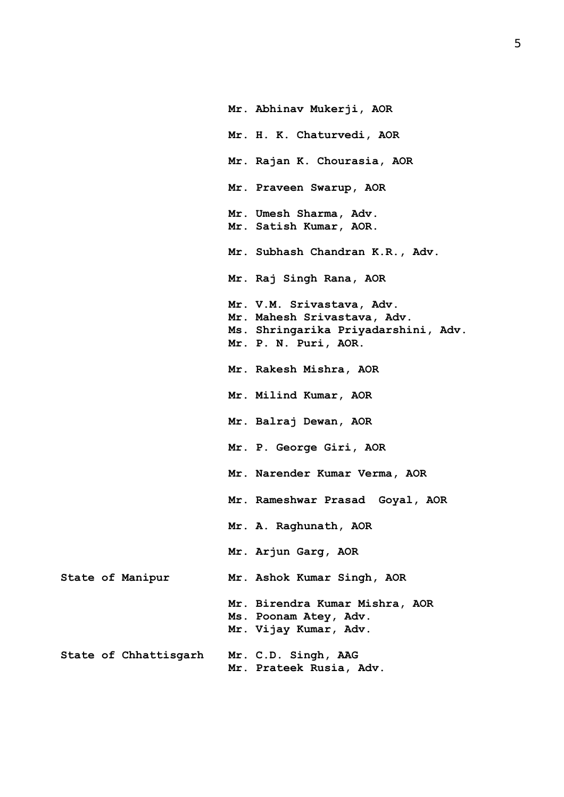**Mr. Abhinav Mukerji, AOR Mr. H. K. Chaturvedi, AOR Mr. Rajan K. Chourasia, AOR Mr. Praveen Swarup, AOR Mr. Umesh Sharma, Adv. Mr. Satish Kumar, AOR. Mr. Subhash Chandran K.R., Adv. Mr. Raj Singh Rana, AOR Mr. V.M. Srivastava, Adv. Mr. Mahesh Srivastava, Adv. Ms. Shringarika Priyadarshini, Adv. Mr. P. N. Puri, AOR. Mr. Rakesh Mishra, AOR Mr. Milind Kumar, AOR Mr. Balraj Dewan, AOR Mr. P. George Giri, AOR Mr. Narender Kumar Verma, AOR Mr. Rameshwar Prasad Goyal, AOR Mr. A. Raghunath, AOR Mr. Arjun Garg, AOR State of Manipur Mr. Ashok Kumar Singh, AOR Mr. Birendra Kumar Mishra, AOR Ms. Poonam Atey, Adv. Mr. Vijay Kumar, Adv. State of Chhattisgarh Mr. C.D. Singh, AAG Mr. Prateek Rusia, Adv.**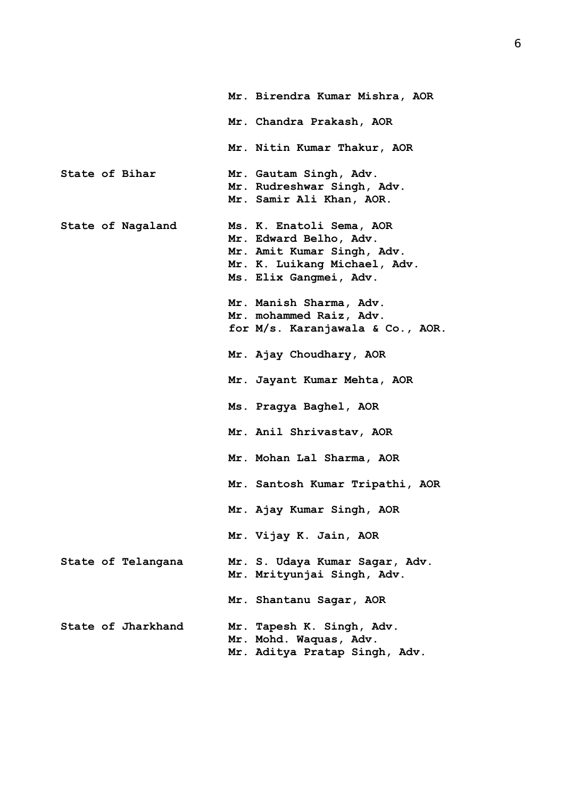|                |                    | Mr. Birendra Kumar Mishra, AOR                                                                                                             |
|----------------|--------------------|--------------------------------------------------------------------------------------------------------------------------------------------|
|                |                    | Mr. Chandra Prakash, AOR                                                                                                                   |
|                |                    | Mr. Nitin Kumar Thakur, AOR                                                                                                                |
| State of Bihar |                    | Mr. Gautam Singh, Adv.<br>Mr. Rudreshwar Singh, Adv.<br>Mr. Samir Ali Khan, AOR.                                                           |
|                | State of Nagaland  | Ms. K. Enatoli Sema, AOR<br>Mr. Edward Belho, Adv.<br>Mr. Amit Kumar Singh, Adv.<br>Mr. K. Luikang Michael, Adv.<br>Ms. Elix Gangmei, Adv. |
|                |                    | Mr. Manish Sharma, Adv.<br>Mr. mohammed Raiz, Adv.<br>for M/s. Karanjawala & Co., AOR.                                                     |
|                |                    | Mr. Ajay Choudhary, AOR                                                                                                                    |
|                |                    | Mr. Jayant Kumar Mehta, AOR                                                                                                                |
|                |                    | Ms. Pragya Baghel, AOR                                                                                                                     |
|                |                    | Mr. Anil Shrivastav, AOR                                                                                                                   |
|                |                    | Mr. Mohan Lal Sharma, AOR                                                                                                                  |
|                |                    | Mr. Santosh Kumar Tripathi, AOR                                                                                                            |
|                |                    | Mr. Ajay Kumar Singh, AOR                                                                                                                  |
|                |                    | Mr. Vijay K. Jain, AOR                                                                                                                     |
|                | State of Telangana | Mr. S. Udaya Kumar Sagar, Adv.<br>Mr. Mrityunjai Singh, Adv.                                                                               |
|                |                    | Mr. Shantanu Sagar, AOR                                                                                                                    |
|                | State of Jharkhand | Mr. Tapesh K. Singh, Adv.<br>Mr. Mohd. Waquas, Adv.<br>Mr. Aditya Pratap Singh, Adv.                                                       |